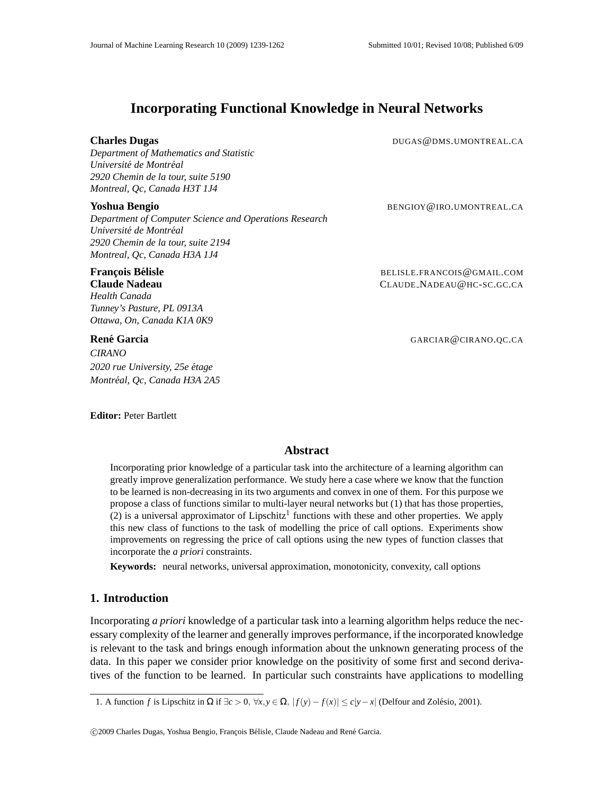# **Incorporating Functional Knowledge in Neural Networks**

## **Charles Dugas DUGAS DUGAS DUGAS DUGAS DUGAS DUGAS DUGAS DUGAS DUGAS DUGAS DUGAS DUGAS DUGAS DUGAS DUGAS DUGAS DUGAS DUGAS DUGAS DUGAS DUGAS DUGAS DUGAS DUGAS DUGAS DUGAS**

*Department of Mathematics and Statistic*  $Université de Montréal$ *2920 Chemin de la tour, suite 5190 Montreal, Qc, Canada H3T 1J4*

*Department of Computer Science and Operations Research*  $Université de Montréal$ *2920 Chemin de la tour, suite 2194 Montreal, Qc, Canada H3A 1J4*

*Health Canada Tunney's Pasture, PL 0913A Ottawa, On, Canada K1A 0K9*

*CIRANO 2020 rue University, 25e etage ´ Montreal, Qc, Canada H3A 2A5 ´*

**Editor:** Peter Bartlett

**Yoshua Bengio** BENGIOY@IRO.UMONTREAL.CA

**Francois Bélisle** *COMPOON COMPOONDER <b>EXAMPLE* BELISLE.FRANCOIS@GMAIL.COM **Claude Nadeau** CLAUDE NADEAU@HC-SC.GC.CA

**Rene Garcia ´** GARCIAR@CIRANO.QC.CA

# **Abstract**

Incorporating prior knowledge of a particular task into the architecture of a learning algorithm can greatly improve generalization performance. We study here a case where we know that the function to be learned is non-decreasing in its two arguments and convex in one of them. For this purpose we propose a class of functions similar to multi-layer neural networks but (1) that has those properties, (2) is a universal approximator of Lipschitz<sup>1</sup> functions with these and other properties. We apply this new class of functions to the task of modelling the price of call options. Experiments show improvements on regressing the price of call options using the new types of function classes that incorporate the *a priori* constraints.

**Keywords:** neural networks, universal approximation, monotonicity, convexity, call options

# **1. Introduction**

Incorporating *a priori* knowledge of a particular task into a learning algorithm helps reduce the necessary complexity of the learner and generally improves performance, if the incorporated knowledge is relevant to the task and brings enough information about the unknown generating process of the data. In this paper we consider prior knowledge on the positivity of some first and second derivatives of the function to be learned. In particular such constraints have applications to modelling

<sup>1.</sup> A function *f* is Lipschitz in Ω if ∃*c* > 0,  $\forall x, y \in \Omega$ ,  $|f(y) - f(x)| \le c|y - x|$  (Delfour and Zolésio, 2001).

<sup>© 2009</sup> Charles Dugas, Yoshua Bengio, François Bélisle, Claude Nadeau and René Garcia.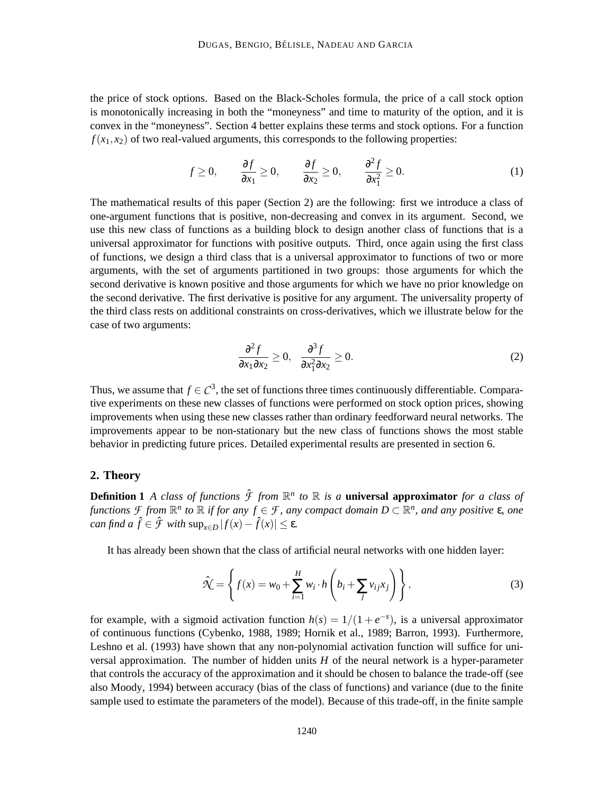the price of stock options. Based on the Black-Scholes formula, the price of a call stock option is monotonically increasing in both the "moneyness" and time to maturity of the option, and it is convex in the "moneyness". Section 4 better explains these terms and stock options. For a function  $f(x_1, x_2)$  of two real-valued arguments, this corresponds to the following properties:

$$
f \ge 0
$$
,  $\frac{\partial f}{\partial x_1} \ge 0$ ,  $\frac{\partial f}{\partial x_2} \ge 0$ ,  $\frac{\partial^2 f}{\partial x_1^2} \ge 0$ . (1)

The mathematical results of this paper (Section 2) are the following: first we introduce a class of one-argument functions that is positive, non-decreasing and convex in its argument. Second, we use this new class of functions as a building block to design another class of functions that is a universal approximator for functions with positive outputs. Third, once again using the first class of functions, we design a third class that is a universal approximator to functions of two or more arguments, with the set of arguments partitioned in two groups: those arguments for which the second derivative is known positive and those arguments for which we have no prior knowledge on the second derivative. The first derivative is positive for any argument. The universality property of the third class rests on additional constraints on cross-derivatives, which we illustrate below for the case of two arguments:

$$
\frac{\partial^2 f}{\partial x_1 \partial x_2} \ge 0, \quad \frac{\partial^3 f}{\partial x_1^2 \partial x_2} \ge 0.
$$
 (2)

Thus, we assume that  $f \in C^3$ , the set of functions three times continuously differentiable. Comparative experiments on these new classes of functions were performed on stock option prices, showing improvements when using these new classes rather than ordinary feedforward neural networks. The improvements appear to be non-stationary but the new class of functions shows the most stable behavior in predicting future prices. Detailed experimental results are presented in section 6.

# **2. Theory**

**Definition 1** *A class of functions*  $\hat{\mathcal{F}}$  *from*  $\mathbb{R}^n$  *to*  $\mathbb{R}$  *is a* **universal approximator** *for a class of*  $f$ *unctions*  $\mathcal{F}$  *from*  $\mathbb{R}^n$  *to*  $\mathbb{R}$  *if for any*  $f \in \mathcal{F}$ *, any compact domain*  $D \subset \mathbb{R}^n$ *, and any positive*  $\varepsilon$ *, one can find a*  $\hat{f} \in \hat{\mathcal{F}}$  *with*  $\sup_{x \in D} |f(x) - \hat{f}(x)| \le \varepsilon$ .

It has already been shown that the class of artificial neural networks with one hidden layer:

$$
\hat{\mathcal{N}} = \left\{ f(x) = w_0 + \sum_{i=1}^H w_i \cdot h\left(b_i + \sum_j v_{ij} x_j\right) \right\},\tag{3}
$$

for example, with a sigmoid activation function  $h(s) = 1/(1 + e^{-s})$ , is a universal approximator of continuous functions (Cybenko, 1988, 1989; Hornik et al., 1989; Barron, 1993). Furthermore, Leshno et al. (1993) have shown that any non-polynomial activation function will suffice for universal approximation. The number of hidden units *H* of the neural network is a hyper-parameter that controls the accuracy of the approximation and it should be chosen to balance the trade-off (see also Moody, 1994) between accuracy (bias of the class of functions) and variance (due to the finite sample used to estimate the parameters of the model). Because of this trade-off, in the finite sample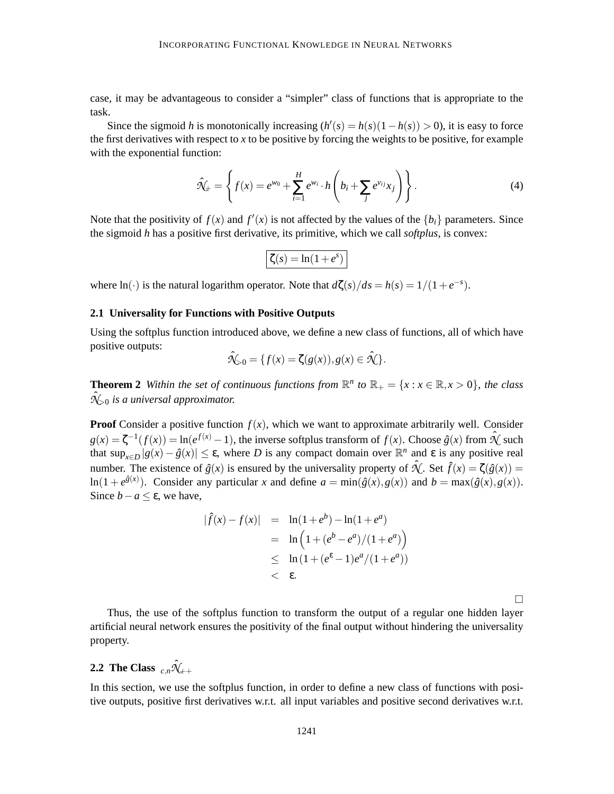case, it may be advantageous to consider a "simpler" class of functions that is appropriate to the task.

Since the sigmoid *h* is monotonically increasing  $(h'(s) = h(s)(1 - h(s)) > 0$ , it is easy to force the first derivatives with respect to  $x$  to be positive by forcing the weights to be positive, for example with the exponential function:

$$
\hat{\mathcal{N}}_{+} = \left\{ f(x) = e^{w_0} + \sum_{i=1}^{H} e^{w_i} \cdot h\left(b_i + \sum_j e^{v_{ij}} x_j\right) \right\}.
$$
 (4)

Note that the positivity of  $f(x)$  and  $f'(x)$  is not affected by the values of the  ${b_i}$  parameters. Since the sigmoid *h* has a positive first derivative, its primitive, which we call *softplus*, is convex:

$$
\boxed{\zeta(s) = \ln(1+e^s)}
$$

where ln(·) is the natural logarithm operator. Note that  $d\zeta(s)/ds = h(s) = 1/(1+e^{-s})$ .

## **2.1 Universality for Functions with Positive Outputs**

Using the softplus function introduced above, we define a new class of functions, all of which have positive outputs:

$$
\hat{\mathcal{N}}_{>0} = \{f(x) = \zeta(g(x)), g(x) \in \hat{\mathcal{N}}\}.
$$

**Theorem 2** Within the set of continuous functions from  $\mathbb{R}^n$  to  $\mathbb{R}_+ = \{x : x \in \mathbb{R}, x > 0\}$ , the class  $\hat{\mathcal{N}}_{>0}$  is a universal approximator.

**Proof** Consider a positive function  $f(x)$ , which we want to approximate arbitrarily well. Consider  $g(x) = \zeta^{-1}(f(x)) = \ln(e^{f(x)} - 1)$ , the inverse softplus transform of  $f(x)$ . Choose  $\hat{g}(x)$  from  $\hat{\mathcal{N}}$  such that  $\sup_{x \in D} |g(x) - \hat{g}(x)| \leq \varepsilon$ , where *D* is any compact domain over  $\mathbb{R}^n$  and  $\varepsilon$  is any positive real number. The existence of  $\hat{g}(x)$  is ensured by the universality property of  $\hat{\mathcal{X}}$ . Set  $\hat{f}(x) = \zeta(\hat{g}(x)) =$  $\ln(1 + e^{\hat{g}(x)})$ . Consider any particular *x* and define  $a = \min(\hat{g}(x), g(x))$  and  $b = \max(\hat{g}(x), g(x))$ . Since  $b - a \le \varepsilon$ , we have,

$$
|\hat{f}(x) - f(x)| = \ln(1 + e^b) - \ln(1 + e^a)
$$
  
=  $\ln(1 + (e^b - e^a)/(1 + e^a))$   
 $\leq \ln(1 + (e^{\epsilon} - 1)e^a/(1 + e^a))$   
 $< \epsilon.$ 

П

Thus, the use of the softplus function to transform the output of a regular one hidden layer artificial neural network ensures the positivity of the final output without hindering the universality property.

# **2.2** The Class  ${}_{c,n}\hat{\mathcal{N}}_{\!+\!+}$

In this section, we use the softplus function, in order to define a new class of functions with positive outputs, positive first derivatives w.r.t. all input variables and positive second derivatives w.r.t.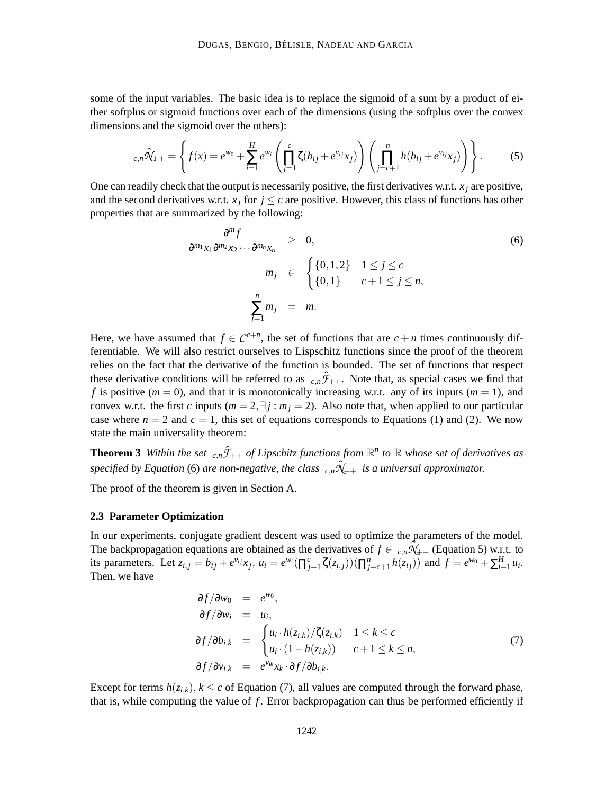some of the input variables. The basic idea is to replace the sigmoid of a sum by a product of either softplus or sigmoid functions over each of the dimensions (using the softplus over the convex dimensions and the sigmoid over the others):

$$
c_{n}\hat{\mathcal{N}}_{++} = \left\{ f(x) = e^{w_0} + \sum_{i=1}^{H} e^{w_i} \left( \prod_{j=1}^{c} \zeta(b_{ij} + e^{v_{ij}} x_j) \right) \left( \prod_{j=c+1}^{n} h(b_{ij} + e^{v_{ij}} x_j) \right) \right\}.
$$
 (5)

One can readily check that the output is necessarily positive, the first derivatives w.r.t.  $x_j$  are positive, and the second derivatives w.r.t.  $x_j$  for  $j \leq c$  are positive. However, this class of functions has other properties that are summarized by the following:

$$
\frac{\partial^m f}{\partial^{m_1} x_1 \partial^{m_2} x_2 \cdots \partial^{m_n} x_n} \geq 0,
$$
\n
$$
m_j \in \begin{cases} \{0, 1, 2\} & 1 \leq j \leq c \\ \{0, 1\} & c+1 \leq j \leq n, \end{cases}
$$
\n
$$
\sum_{j=1}^n m_j = m.
$$
\n(6)

Here, we have assumed that  $f \in C^{c+n}$ , the set of functions that are  $c + n$  times continuously differentiable. We will also restrict ourselves to Lispschitz functions since the proof of the theorem relies on the fact that the derivative of the function is bounded. The set of functions that respect these derivative conditions will be referred to as  $_{c,n}\hat{\mathcal{F}}_{++}$ . Note that, as special cases we find that *f* is positive ( $m = 0$ ), and that it is monotonically increasing w.r.t. any of its inputs ( $m = 1$ ), and convex w.r.t. the first *c* inputs ( $m = 2$ , $\exists j : m_j = 2$ ). Also note that, when applied to our particular case where  $n = 2$  and  $c = 1$ , this set of equations corresponds to Equations (1) and (2). We now state the main universality theorem:

**Theorem 3** Within the set  $_{c,n}\hat{\mathcal{F}}_{++}$  of Lipschitz functions from  $\mathbb{R}^n$  to  $\mathbb R$  whose set of derivatives as *specified by Equation* (6) *are non-negative, the class*  ${}_{c,n}\hat{\mathcal{X}}_{++}$  *is a universal approximator.* 

The proof of the theorem is given in Section A.

### **2.3 Parameter Optimization**

In our experiments, conjugate gradient descent was used to optimize the parameters of the model. The backpropagation equations are obtained as the derivatives of  $f \in c_n \hat{N}_{++}$  (Equation 5) w.r.t. to its parameters. Let  $z_{i,j} = b_{ij} + e^{v_{ij}} x_j$ ,  $u_i = e^{w_i} (\prod_{j=1}^c \zeta(z_{i,j})) (\prod_{j=c+1}^n h(z_{ij}))$  and  $f = e^{w_0} + \sum_{i=1}^H u_i$ . Then, we have

$$
\partial f/\partial w_0 = e^{w_0},
$$
  
\n
$$
\partial f/\partial w_i = u_i,
$$
  
\n
$$
\partial f/\partial b_{i,k} = \begin{cases} u_i \cdot h(z_{i,k})/\zeta(z_{i,k}) & 1 \le k \le c \\ u_i \cdot (1 - h(z_{i,k})) & c+1 \le k \le n, \end{cases}
$$
  
\n
$$
\partial f/\partial v_{i,k} = e^{v_{ik}}x_k \cdot \partial f/\partial b_{i,k}.
$$
\n(7)

Except for terms  $h(z_{i,k}), k \leq c$  of Equation (7), all values are computed through the forward phase, that is, while computing the value of *f* . Error backpropagation can thus be performed efficiently if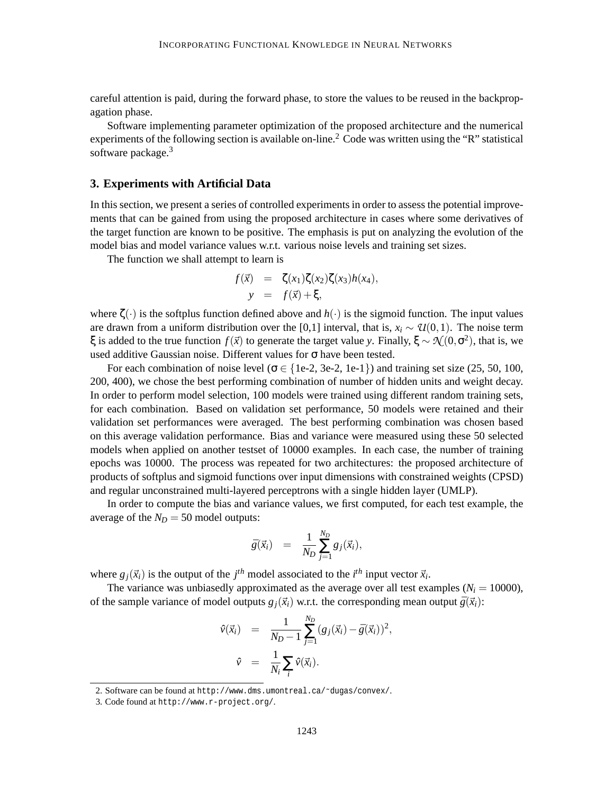careful attention is paid, during the forward phase, to store the values to be reused in the backpropagation phase.

Software implementing parameter optimization of the proposed architecture and the numerical experiments of the following section is available on-line.<sup>2</sup> Code was written using the "R" statistical software package.<sup>3</sup>

## **3. Experiments with Artificial Data**

In this section, we present a series of controlled experiments in order to assess the potential improvements that can be gained from using the proposed architecture in cases where some derivatives of the target function are known to be positive. The emphasis is put on analyzing the evolution of the model bias and model variance values w.r.t. various noise levels and training set sizes.

The function we shall attempt to learn is

$$
f(\vec{x}) = \zeta(x_1)\zeta(x_2)\zeta(x_3)h(x_4),
$$
  

$$
y = f(\vec{x}) + \xi,
$$

where  $\zeta(\cdot)$  is the softplus function defined above and  $h(\cdot)$  is the sigmoid function. The input values are drawn from a uniform distribution over the [0,1] interval, that is,  $x_i \sim \mathcal{U}(0,1)$ . The noise term  $\xi$  is added to the true function  $f(\vec{x})$  to generate the target value *y*. Finally,  $\xi \sim \mathcal{N}(0, \sigma^2)$ , that is, we used additive Gaussian noise. Different values for  $\sigma$  have been tested.

For each combination of noise level ( $\sigma \in \{1e-2, 3e-2, 1e-1\}$ ) and training set size (25, 50, 100, 200, 400), we chose the best performing combination of number of hidden units and weight decay. In order to perform model selection, 100 models were trained using different random training sets, for each combination. Based on validation set performance, 50 models were retained and their validation set performances were averaged. The best performing combination was chosen based on this average validation performance. Bias and variance were measured using these 50 selected models when applied on another testset of 10000 examples. In each case, the number of training epochs was 10000. The process was repeated for two architectures: the proposed architecture of products of softplus and sigmoid functions over input dimensions with constrained weights (CPSD) and regular unconstrained multi-layered perceptrons with a single hidden layer (UMLP).

In order to compute the bias and variance values, we first computed, for each test example, the average of the  $N_D = 50$  model outputs:

$$
\bar{g}(\vec{x}_i) = \frac{1}{N_D} \sum_{j=1}^{N_D} g_j(\vec{x}_i),
$$

where  $g_j(\vec{x}_i)$  is the output of the  $j^{th}$  model associated to the  $i^{th}$  input vector  $\vec{x}_i$ .

The variance was unbiasedly approximated as the average over all test examples  $(N_i = 10000)$ , of the sample variance of model outputs  $g_j(\vec{x}_i)$  w.r.t. the corresponding mean output  $\bar{g}(\vec{x}_i)$ :

$$
\hat{v}(\vec{x}_i) = \frac{1}{N_D - 1} \sum_{j=1}^{N_D} (g_j(\vec{x}_i) - \bar{g}(\vec{x}_i))^2,
$$
  

$$
\hat{v} = \frac{1}{N_i} \sum_i \hat{v}(\vec{x}_i).
$$

<sup>2.</sup> Software can be found at http://www.dms.umontreal.ca/˜dugas/convex/.

<sup>3.</sup> Code found at http://www.r-project.org/.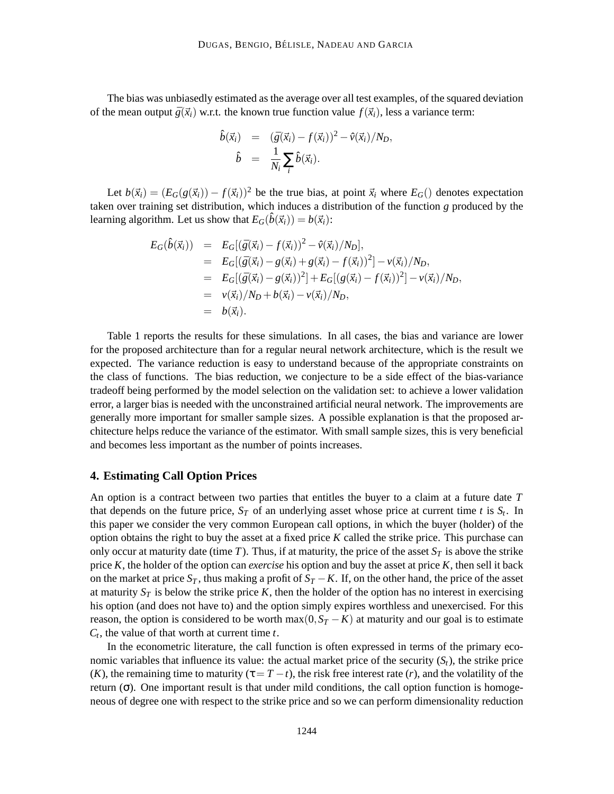The bias was unbiasedly estimated as the average over all test examples, of the squared deviation of the mean output  $\bar{g}(\vec{x}_i)$  w.r.t. the known true function value  $f(\vec{x}_i)$ , less a variance term:

$$
\hat{b}(\vec{x}_i) = (\bar{g}(\vec{x}_i) - f(\vec{x}_i))^2 - \hat{v}(\vec{x}_i)/N_D, \n\hat{b} = \frac{1}{N_i} \sum_i \hat{b}(\vec{x}_i).
$$

Let  $b(\vec{x}_i) = (E_G(g(\vec{x}_i)) - f(\vec{x}_i))^2$  be the true bias, at point  $\vec{x}_i$  where  $E_G()$  denotes expectation taken over training set distribution, which induces a distribution of the function *g* produced by the learning algorithm. Let us show that  $E_G(\hat{b}(\vec{x}_i)) = b(\vec{x}_i)$ :

$$
E_G(\hat{b}(\vec{x}_i)) = E_G[(\bar{g}(\vec{x}_i) - f(\vec{x}_i))^2 - \hat{v}(\vec{x}_i)/N_D],
$$
  
\n
$$
= E_G[(\bar{g}(\vec{x}_i) - g(\vec{x}_i) + g(\vec{x}_i) - f(\vec{x}_i))^2] - \hat{v}(\vec{x}_i)/N_D,
$$
  
\n
$$
= E_G[(\bar{g}(\vec{x}_i) - g(\vec{x}_i))^2] + E_G[(g(\vec{x}_i) - f(\vec{x}_i))^2] - \hat{v}(\vec{x}_i)/N_D,
$$
  
\n
$$
= \hat{v}(\vec{x}_i)/N_D + b(\vec{x}_i) - \hat{v}(\vec{x}_i)/N_D,
$$
  
\n
$$
= b(\vec{x}_i).
$$

Table 1 reports the results for these simulations. In all cases, the bias and variance are lower for the proposed architecture than for a regular neural network architecture, which is the result we expected. The variance reduction is easy to understand because of the appropriate constraints on the class of functions. The bias reduction, we conjecture to be a side effect of the bias-variance tradeoff being performed by the model selection on the validation set: to achieve a lower validation error, a larger bias is needed with the unconstrained artificial neural network. The improvements are generally more important for smaller sample sizes. A possible explanation is that the proposed architecture helps reduce the variance of the estimator. With small sample sizes, this is very beneficial and becomes less important as the number of points increases.

### **4. Estimating Call Option Prices**

An option is a contract between two parties that entitles the buyer to a claim at a future date *T* that depends on the future price,  $S_T$  of an underlying asset whose price at current time  $t$  is  $S_t$ . In this paper we consider the very common European call options, in which the buyer (holder) of the option obtains the right to buy the asset at a fixed price *K* called the strike price. This purchase can only occur at maturity date (time *T*). Thus, if at maturity, the price of the asset  $S_T$  is above the strike price *K*, the holder of the option can *exercise* his option and buy the asset at price *K*, then sell it back on the market at price  $S_T$ , thus making a profit of  $S_T - K$ . If, on the other hand, the price of the asset at maturity  $S_T$  is below the strike price K, then the holder of the option has no interest in exercising his option (and does not have to) and the option simply expires worthless and unexercised. For this reason, the option is considered to be worth max $(0, S_T - K)$  at maturity and our goal is to estimate *Ct* , the value of that worth at current time *t*.

In the econometric literature, the call function is often expressed in terms of the primary economic variables that influence its value: the actual market price of the security  $(S_t)$ , the strike price (*K*), the remaining time to maturity ( $\tau = T - t$ ), the risk free interest rate (*r*), and the volatility of the return (σ). One important result is that under mild conditions, the call option function is homogeneous of degree one with respect to the strike price and so we can perform dimensionality reduction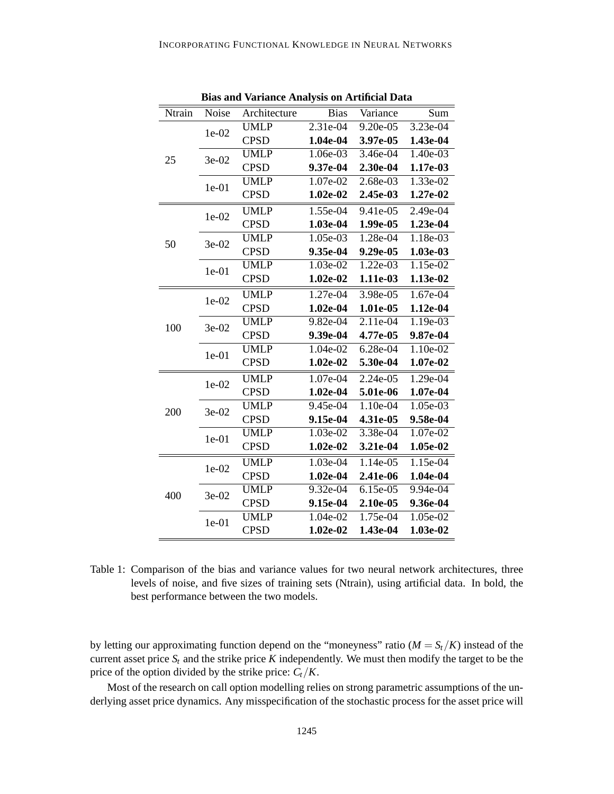| Ntrain | Noise   | Architecture | <b>Bias</b> | Variance   | Sum        |
|--------|---------|--------------|-------------|------------|------------|
|        | $1e-02$ | <b>UMLP</b>  | 2.31e-04    | 9.20e-05   | 3.23e-04   |
|        |         | <b>CPSD</b>  | 1.04e-04    | 3.97e-05   | 1.43e-04   |
| 25     | $3e-02$ | <b>UMLP</b>  | 1.06e-03    | 3.46e-04   | 1.40e-03   |
|        |         | <b>CPSD</b>  | 9.37e-04    | 2.30e-04   | 1.17e-03   |
|        | $1e-01$ | <b>UMLP</b>  | 1.07e-02    | 2.68e-03   | 1.33e-02   |
|        |         | <b>CPSD</b>  | $1.02e-02$  | 2.45e-03   | 1.27e-02   |
|        | $1e-02$ | <b>UMLP</b>  | 1.55e-04    | 9.41e-05   | 2.49e-04   |
|        |         | <b>CPSD</b>  | 1.03e-04    | 1.99e-05   | 1.23e-04   |
| 50     | 3e-02   | <b>UMLP</b>  | 1.05e-03    | 1.28e-04   | 1.18e-03   |
|        |         | <b>CPSD</b>  | 9.35e-04    | 9.29e-05   | 1.03e-03   |
|        | $1e-01$ | <b>UMLP</b>  | 1.03e-02    | 1.22e-03   | 1.15e-02   |
|        |         | <b>CPSD</b>  | $1.02e-02$  | 1.11e-03   | 1.13e-02   |
|        | $1e-02$ | <b>UMLP</b>  | 1.27e-04    | 3.98e-05   | 1.67e-04   |
|        |         | <b>CPSD</b>  | $1.02e-04$  | 1.01e-05   | 1.12e-04   |
| 100    | 3e-02   | <b>UMLP</b>  | 9.82e-04    | 2.11e-04   | 1.19e-03   |
|        |         | <b>CPSD</b>  | 9.39e-04    | 4.77e-05   | 9.87e-04   |
|        | $1e-01$ | <b>UMLP</b>  | 1.04e-02    | 6.28e-04   | 1.10e-02   |
|        |         | <b>CPSD</b>  | $1.02e-02$  | 5.30e-04   | 1.07e-02   |
|        | $1e-02$ | <b>UMLP</b>  | 1.07e-04    | 2.24e-05   | 1.29e-04   |
|        |         | <b>CPSD</b>  | $1.02e-04$  | 5.01e-06   | 1.07e-04   |
| 200    | 3e-02   | <b>UMLP</b>  | $9.45e-04$  | $1.10e-04$ | $1.05e-03$ |
|        |         | <b>CPSD</b>  | 9.15e-04    | 4.31e-05   | 9.58e-04   |
|        | $1e-01$ | <b>UMLP</b>  | 1.03e-02    | 3.38e-04   | 1.07e-02   |
|        |         | <b>CPSD</b>  | $1.02e-02$  | 3.21e-04   | 1.05e-02   |
|        | $1e-02$ | <b>UMLP</b>  | 1.03e-04    | 1.14e-05   | 1.15e-04   |
|        |         | <b>CPSD</b>  | $1.02e-04$  | 2.41e-06   | 1.04e-04   |
| 400    | 3e-02   | <b>UMLP</b>  | 9.32e-04    | 6.15e-05   | 9.94e-04   |
|        |         | <b>CPSD</b>  | 9.15e-04    | 2.10e-05   | 9.36e-04   |
|        | $1e-01$ | <b>UMLP</b>  | 1.04e-02    | 1.75e-04   | 1.05e-02   |
|        |         | <b>CPSD</b>  | $1.02e-02$  | 1.43e-04   | 1.03e-02   |

**Bias and Variance Analysis on Artificial Data**

Table 1: Comparison of the bias and variance values for two neural network architectures, three levels of noise, and five sizes of training sets (Ntrain), using artificial data. In bold, the best performance between the two models.

by letting our approximating function depend on the "moneyness" ratio ( $M = S_t/K$ ) instead of the current asset price  $S_t$  and the strike price  $K$  independently. We must then modify the target to be the price of the option divided by the strike price: *Ct*/*K*.

Most of the research on call option modelling relies on strong parametric assumptions of the underlying asset price dynamics. Any misspecification of the stochastic process for the asset price will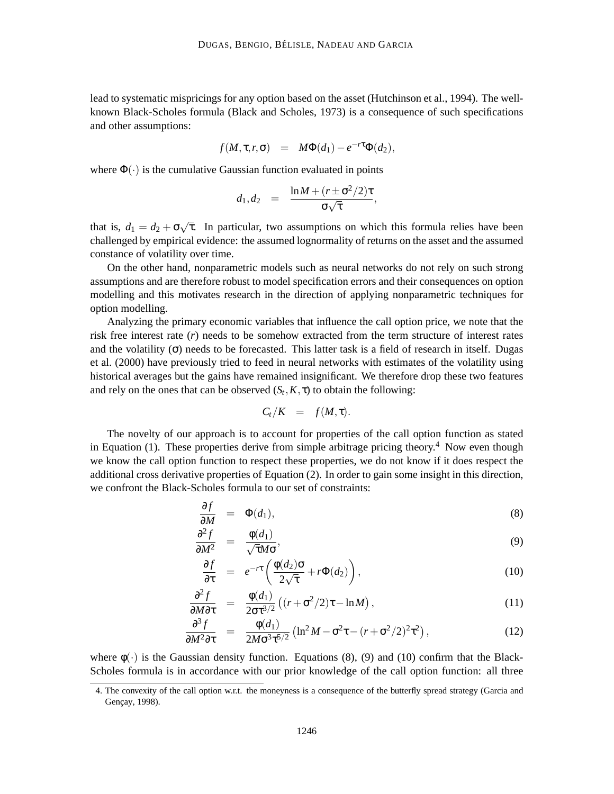lead to systematic mispricings for any option based on the asset (Hutchinson et al., 1994). The wellknown Black-Scholes formula (Black and Scholes, 1973) is a consequence of such specifications and other assumptions:

$$
f(M,\tau,r,\sigma) = M\Phi(d_1) - e^{-r\tau}\Phi(d_2),
$$

where  $\Phi(\cdot)$  is the cumulative Gaussian function evaluated in points

∂ *f*

$$
d_1, d_2 = \frac{\ln M + (r \pm \sigma^2/2)\tau}{\sigma\sqrt{\tau}},
$$

that is,  $d_1 = d_2 + \sigma \sqrt{\tau}$ . In particular, two assumptions on which this formula relies have been challenged by empirical evidence: the assumed lognormality of returns on the asset and the assumed constance of volatility over time.

On the other hand, nonparametric models such as neural networks do not rely on such strong assumptions and are therefore robust to model specification errors and their consequences on option modelling and this motivates research in the direction of applying nonparametric techniques for option modelling.

Analyzing the primary economic variables that influence the call option price, we note that the risk free interest rate (*r*) needs to be somehow extracted from the term structure of interest rates and the volatility  $(\sigma)$  needs to be forecasted. This latter task is a field of research in itself. Dugas et al. (2000) have previously tried to feed in neural networks with estimates of the volatility using historical averages but the gains have remained insignificant. We therefore drop these two features and rely on the ones that can be observed  $(S_t, K, \tau)$  to obtain the following:

$$
C_t/K = f(M,\tau).
$$

The novelty of our approach is to account for properties of the call option function as stated in Equation (1). These properties derive from simple arbitrage pricing theory.<sup>4</sup> Now even though we know the call option function to respect these properties, we do not know if it does respect the additional cross derivative properties of Equation (2). In order to gain some insight in this direction, we confront the Black-Scholes formula to our set of constraints:

$$
\frac{\partial f}{\partial M} = \Phi(d_1), \tag{8}
$$

$$
\frac{\partial^2 f}{\partial M^2} = \frac{\phi(d_1)}{\sqrt{\tau}M\sigma},\tag{9}
$$

$$
\frac{\partial f}{\partial \tau} = e^{-r\tau} \left( \frac{\phi(d_2)\sigma}{2\sqrt{\tau}} + r\Phi(d_2) \right),\tag{10}
$$

$$
\frac{\partial^2 f}{\partial M \partial \tau} = \frac{\phi(d_1)}{2\sigma^2} \left( (r + \sigma^2/2)\tau - \ln M \right),\tag{11}
$$

$$
\frac{\partial^3 f}{\partial M^2 \partial \tau} = \frac{\phi(d_1)}{2M \sigma^3 \tau^{5/2}} \left( \ln^2 M - \sigma^2 \tau - (r + \sigma^2/2)^2 \tau^2 \right),\tag{12}
$$

where  $\phi(\cdot)$  is the Gaussian density function. Equations (8), (9) and (10) confirm that the Black-Scholes formula is in accordance with our prior knowledge of the call option function: all three

<sup>4.</sup> The convexity of the call option w.r.t. the moneyness is a consequence of the butterfly spread strategy (Garcia and Gençay, 1998).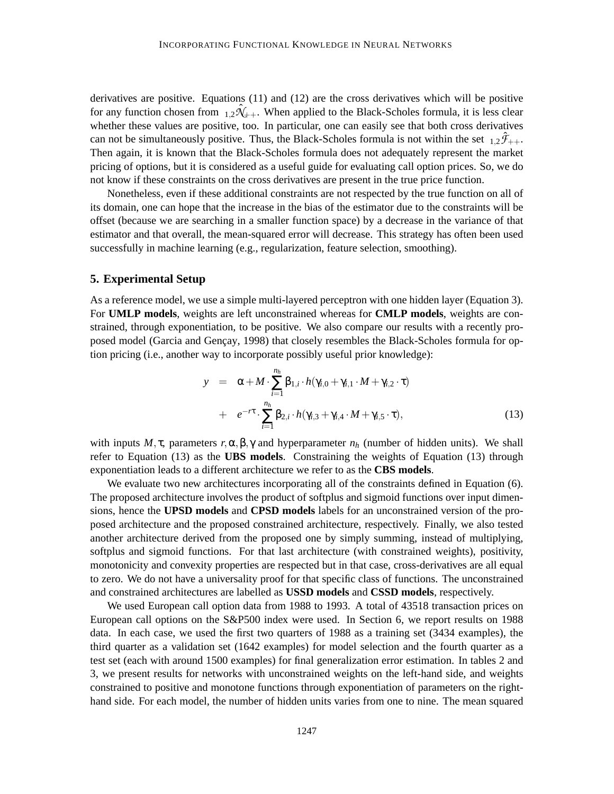derivatives are positive. Equations (11) and (12) are the cross derivatives which will be positive for any function chosen from  $_{1,2}\hat{\mathcal{N}}_{++}$ . When applied to the Black-Scholes formula, it is less clear whether these values are positive, too. In particular, one can easily see that both cross derivatives can not be simultaneously positive. Thus, the Black-Scholes formula is not within the set  $1.2\hat{F}_{++}$ . Then again, it is known that the Black-Scholes formula does not adequately represent the market pricing of options, but it is considered as a useful guide for evaluating call option prices. So, we do not know if these constraints on the cross derivatives are present in the true price function.

Nonetheless, even if these additional constraints are not respected by the true function on all of its domain, one can hope that the increase in the bias of the estimator due to the constraints will be offset (because we are searching in a smaller function space) by a decrease in the variance of that estimator and that overall, the mean-squared error will decrease. This strategy has often been used successfully in machine learning (e.g., regularization, feature selection, smoothing).

### **5. Experimental Setup**

As a reference model, we use a simple multi-layered perceptron with one hidden layer (Equation 3). For **UMLP models**, weights are left unconstrained whereas for **CMLP models**, weights are constrained, through exponentiation, to be positive. We also compare our results with a recently proposed model (Garcia and Gençay, 1998) that closely resembles the Black-Scholes formula for option pricing (i.e., another way to incorporate possibly useful prior knowledge):

$$
y = \alpha + M \cdot \sum_{i=1}^{n_h} \beta_{1,i} \cdot h(\gamma_{i,0} + \gamma_{i,1} \cdot M + \gamma_{i,2} \cdot \tau)
$$
  
+ 
$$
e^{-r\tau} \cdot \sum_{i=1}^{n_h} \beta_{2,i} \cdot h(\gamma_{i,3} + \gamma_{i,4} \cdot M + \gamma_{i,5} \cdot \tau),
$$
 (13)

with inputs  $M, \tau$ , parameters  $r, \alpha, \beta, \gamma$  and hyperparameter  $n_h$  (number of hidden units). We shall refer to Equation (13) as the **UBS models**. Constraining the weights of Equation (13) through exponentiation leads to a different architecture we refer to as the **CBS models**.

We evaluate two new architectures incorporating all of the constraints defined in Equation (6). The proposed architecture involves the product of softplus and sigmoid functions over input dimensions, hence the **UPSD models** and **CPSD models** labels for an unconstrained version of the proposed architecture and the proposed constrained architecture, respectively. Finally, we also tested another architecture derived from the proposed one by simply summing, instead of multiplying, softplus and sigmoid functions. For that last architecture (with constrained weights), positivity, monotonicity and convexity properties are respected but in that case, cross-derivatives are all equal to zero. We do not have a universality proof for that specific class of functions. The unconstrained and constrained architectures are labelled as **USSD models** and **CSSD models**, respectively.

We used European call option data from 1988 to 1993. A total of 43518 transaction prices on European call options on the S&P500 index were used. In Section 6, we report results on 1988 data. In each case, we used the first two quarters of 1988 as a training set (3434 examples), the third quarter as a validation set (1642 examples) for model selection and the fourth quarter as a test set (each with around 1500 examples) for final generalization error estimation. In tables 2 and 3, we present results for networks with unconstrained weights on the left-hand side, and weights constrained to positive and monotone functions through exponentiation of parameters on the righthand side. For each model, the number of hidden units varies from one to nine. The mean squared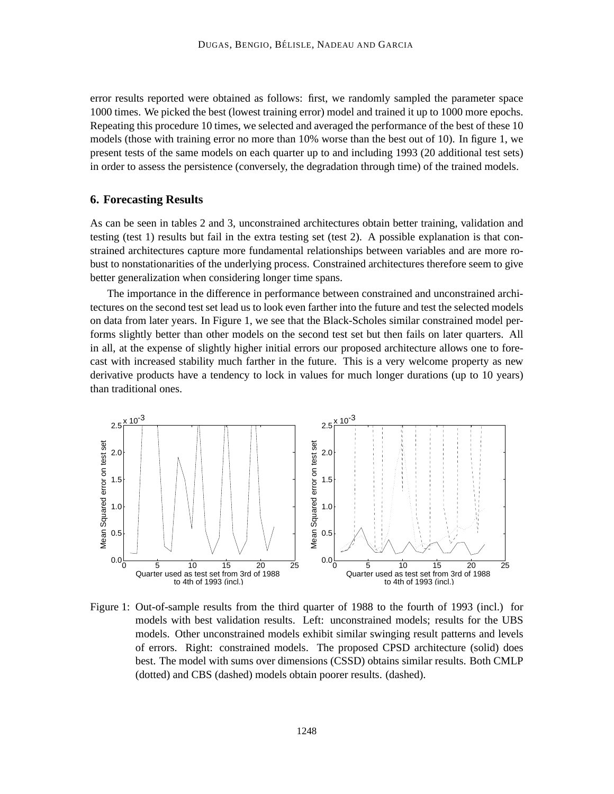error results reported were obtained as follows: first, we randomly sampled the parameter space 1000 times. We picked the best (lowest training error) model and trained it up to 1000 more epochs. Repeating this procedure 10 times, we selected and averaged the performance of the best of these 10 models (those with training error no more than 10% worse than the best out of 10). In figure 1, we present tests of the same models on each quarter up to and including 1993 (20 additional test sets) in order to assess the persistence (conversely, the degradation through time) of the trained models.

# **6. Forecasting Results**

As can be seen in tables 2 and 3, unconstrained architectures obtain better training, validation and testing (test 1) results but fail in the extra testing set (test 2). A possible explanation is that constrained architectures capture more fundamental relationships between variables and are more robust to nonstationarities of the underlying process. Constrained architectures therefore seem to give better generalization when considering longer time spans.

The importance in the difference in performance between constrained and unconstrained architectures on the second test set lead us to look even farther into the future and test the selected models on data from later years. In Figure 1, we see that the Black-Scholes similar constrained model performs slightly better than other models on the second test set but then fails on later quarters. All in all, at the expense of slightly higher initial errors our proposed architecture allows one to forecast with increased stability much farther in the future. This is a very welcome property as new derivative products have a tendency to lock in values for much longer durations (up to 10 years) than traditional ones.



Figure 1: Out-of-sample results from the third quarter of 1988 to the fourth of 1993 (incl.) for models with best validation results. Left: unconstrained models; results for the UBS models. Other unconstrained models exhibit similar swinging result patterns and levels of errors. Right: constrained models. The proposed CPSD architecture (solid) does best. The model with sums over dimensions (CSSD) obtains similar results. Both CMLP (dotted) and CBS (dashed) models obtain poorer results. (dashed).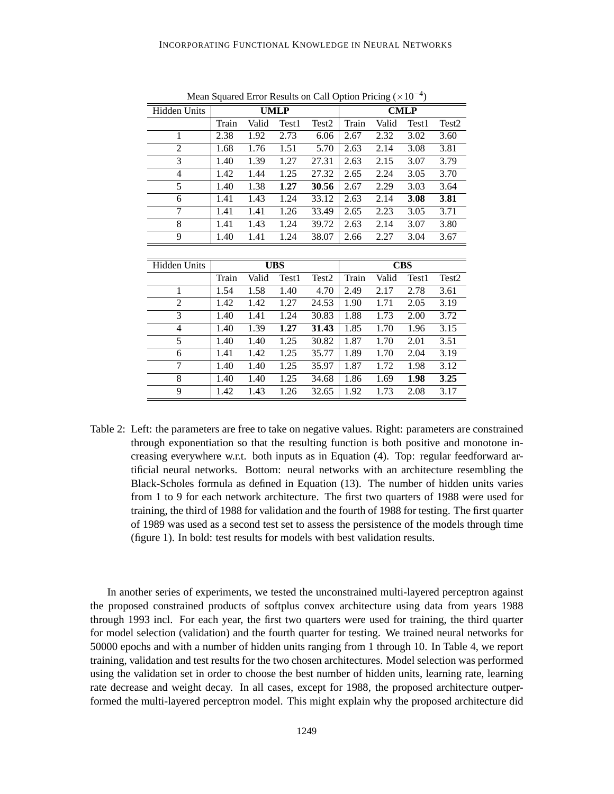| Hidden Units        |       |       | <b>UMLP</b> |                   |       |       | <b>CMLP</b> |                   |
|---------------------|-------|-------|-------------|-------------------|-------|-------|-------------|-------------------|
|                     | Train | Valid | Test1       | Test <sub>2</sub> | Train | Valid | Test1       | Test <sub>2</sub> |
| $\mathbf{1}$        | 2.38  | 1.92  | 2.73        | 6.06              | 2.67  | 2.32  | 3.02        | 3.60              |
| $\overline{c}$      | 1.68  | 1.76  | 1.51        | 5.70              | 2.63  | 2.14  | 3.08        | 3.81              |
| $\overline{3}$      | 1.40  | 1.39  | 1.27        | 27.31             | 2.63  | 2.15  | 3.07        | 3.79              |
| 4                   | 1.42  | 1.44  | 1.25        | 27.32             | 2.65  | 2.24  | 3.05        | 3.70              |
| 5                   | 1.40  | 1.38  | 1.27        | 30.56             | 2.67  | 2.29  | 3.03        | 3.64              |
| 6                   | 1.41  | 1.43  | 1.24        | 33.12             | 2.63  | 2.14  | 3.08        | 3.81              |
| 7                   | 1.41  | 1.41  | 1.26        | 33.49             | 2.65  | 2.23  | 3.05        | 3.71              |
| 8                   | 1.41  | 1.43  | 1.24        | 39.72             | 2.63  | 2.14  | 3.07        | 3.80              |
| 9                   | 1.40  | 1.41  | 1.24        | 38.07             | 2.66  | 2.27  | 3.04        | 3.67              |
|                     |       |       |             |                   |       |       |             |                   |
|                     |       |       |             |                   |       |       |             |                   |
| <b>Hidden Units</b> |       |       | <b>UBS</b>  |                   |       |       | <b>CBS</b>  |                   |
|                     | Train | Valid | Test1       | Test <sub>2</sub> | Train | Valid | Test1       | Test2             |
| 1                   | 1.54  | 1.58  | 1.40        | 4.70              | 2.49  | 2.17  | 2.78        | 3.61              |
| $\overline{c}$      | 1.42  | 1.42  | 1.27        | 24.53             | 1.90  | 1.71  | 2.05        | 3.19              |
| 3                   | 1.40  | 1.41  | 1.24        | 30.83             | 1.88  | 1.73  | 2.00        | 3.72              |
| 4                   | 1.40  | 1.39  | 1.27        | 31.43             | 1.85  | 1.70  | 1.96        | 3.15              |
| 5                   | 1.40  | 1.40  | 1.25        | 30.82             | 1.87  | 1.70  | 2.01        | 3.51              |
| 6                   | 1.41  | 1.42  | 1.25        | 35.77             | 1.89  | 1.70  | 2.04        | 3.19              |
| 7                   | 1.40  | 1.40  | 1.25        | 35.97             | 1.87  | 1.72  | 1.98        | 3.12              |
| 8                   | 1.40  | 1.40  | 1.25        | 34.68             | 1.86  | 1.69  | 1.98        | 3.25              |

Mean Squared Error Results on Call Option Pricing  $(\times 10^{-4})$ 

Table 2: Left: the parameters are free to take on negative values. Right: parameters are constrained through exponentiation so that the resulting function is both positive and monotone increasing everywhere w.r.t. both inputs as in Equation (4). Top: regular feedforward artificial neural networks. Bottom: neural networks with an architecture resembling the Black-Scholes formula as defined in Equation (13). The number of hidden units varies from 1 to 9 for each network architecture. The first two quarters of 1988 were used for training, the third of 1988 for validation and the fourth of 1988 for testing. The first quarter of 1989 was used as a second test set to assess the persistence of the models through time (figure 1). In bold: test results for models with best validation results.

In another series of experiments, we tested the unconstrained multi-layered perceptron against the proposed constrained products of softplus convex architecture using data from years 1988 through 1993 incl. For each year, the first two quarters were used for training, the third quarter for model selection (validation) and the fourth quarter for testing. We trained neural networks for 50000 epochs and with a number of hidden units ranging from 1 through 10. In Table 4, we report training, validation and test results for the two chosen architectures. Model selection was performed using the validation set in order to choose the best number of hidden units, learning rate, learning rate decrease and weight decay. In all cases, except for 1988, the proposed architecture outperformed the multi-layered perceptron model. This might explain why the proposed architecture did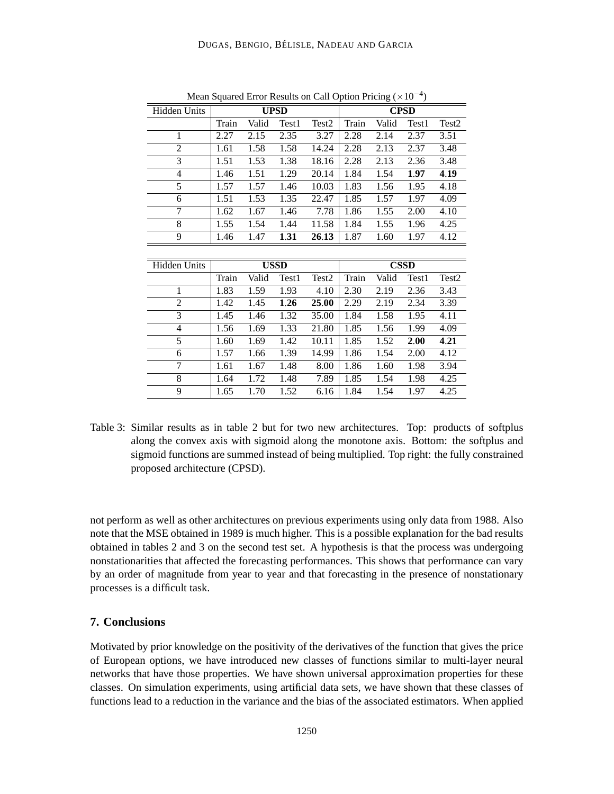| Hidden Units        |       |       | <b>UPSD</b> |                   |       |       | <b>CPSD</b> |                   |
|---------------------|-------|-------|-------------|-------------------|-------|-------|-------------|-------------------|
|                     | Train | Valid | Test1       | Test <sub>2</sub> | Train | Valid | Test1       | Test <sub>2</sub> |
| 1                   | 2.27  | 2.15  | 2.35        | 3.27              | 2.28  | 2.14  | 2.37        | 3.51              |
| $\overline{c}$      | 1.61  | 1.58  | 1.58        | 14.24             | 2.28  | 2.13  | 2.37        | 3.48              |
| $\overline{3}$      | 1.51  | 1.53  | 1.38        | 18.16             | 2.28  | 2.13  | 2.36        | 3.48              |
| 4                   | 1.46  | 1.51  | 1.29        | 20.14             | 1.84  | 1.54  | 1.97        | 4.19              |
| 5                   | 1.57  | 1.57  | 1.46        | 10.03             | 1.83  | 1.56  | 1.95        | 4.18              |
| 6                   | 1.51  | 1.53  | 1.35        | 22.47             | 1.85  | 1.57  | 1.97        | 4.09              |
| 7                   | 1.62  | 1.67  | 1.46        | 7.78              | 1.86  | 1.55  | 2.00        | 4.10              |
| 8                   | 1.55  | 1.54  | 1.44        | 11.58             | 1.84  | 1.55  | 1.96        | 4.25              |
| 9                   | 1.46  | 1.47  | 1.31        | 26.13             | 1.87  | 1.60  | 1.97        | 4.12              |
|                     |       |       |             |                   |       |       |             |                   |
| <b>Hidden Units</b> |       |       | <b>USSD</b> |                   |       |       | <b>CSSD</b> |                   |
|                     | Train | Valid | Test1       | Test2             | Train | Valid | Test1       | Test <sub>2</sub> |
| 1                   | 1.83  | 1.59  | 1.93        | 4.10              | 2.30  | 2.19  | 2.36        | 3.43              |
| 2                   | 1.42  | 1.45  | 1.26        | 25.00             | 2.29  | 2.19  | 2.34        | 3.39              |
| 3                   | 1.45  | 1.46  | 1.32        | 35.00             | 1.84  | 1.58  | 1.95        | 4.11              |
| 4                   | 1.56  | 1.69  | 1.33        | 21.80             | 1.85  | 1.56  | 1.99        | 4.09              |
| 5                   |       |       |             |                   |       |       |             |                   |
|                     | 1.60  | 1.69  | 1.42        | 10.11             | 1.85  | 1.52  | 2.00        | 4.21              |
| 6                   | 1.57  | 1.66  | 1.39        | 14.99             | 1.86  | 1.54  | 2.00        | 4.12              |
| 7                   | 1.61  | 1.67  | 1.48        | 8.00              | 1.86  | 1.60  | 1.98        | 3.94              |
| 8                   | 1.64  | 1.72  | 1.48        | 7.89              | 1.85  | 1.54  | 1.98        | 4.25              |

Mean Squared Error Results on Call Option Pricing  $(\times 10^{-4})$ 

Table 3: Similar results as in table 2 but for two new architectures. Top: products of softplus along the convex axis with sigmoid along the monotone axis. Bottom: the softplus and sigmoid functions are summed instead of being multiplied. Top right: the fully constrained proposed architecture (CPSD).

not perform as well as other architectures on previous experiments using only data from 1988. Also note that the MSE obtained in 1989 is much higher. This is a possible explanation for the bad results obtained in tables 2 and 3 on the second test set. A hypothesis is that the process was undergoing nonstationarities that affected the forecasting performances. This shows that performance can vary by an order of magnitude from year to year and that forecasting in the presence of nonstationary processes is a difficult task.

# **7. Conclusions**

Motivated by prior knowledge on the positivity of the derivatives of the function that gives the price of European options, we have introduced new classes of functions similar to multi-layer neural networks that have those properties. We have shown universal approximation properties for these classes. On simulation experiments, using artificial data sets, we have shown that these classes of functions lead to a reduction in the variance and the bias of the associated estimators. When applied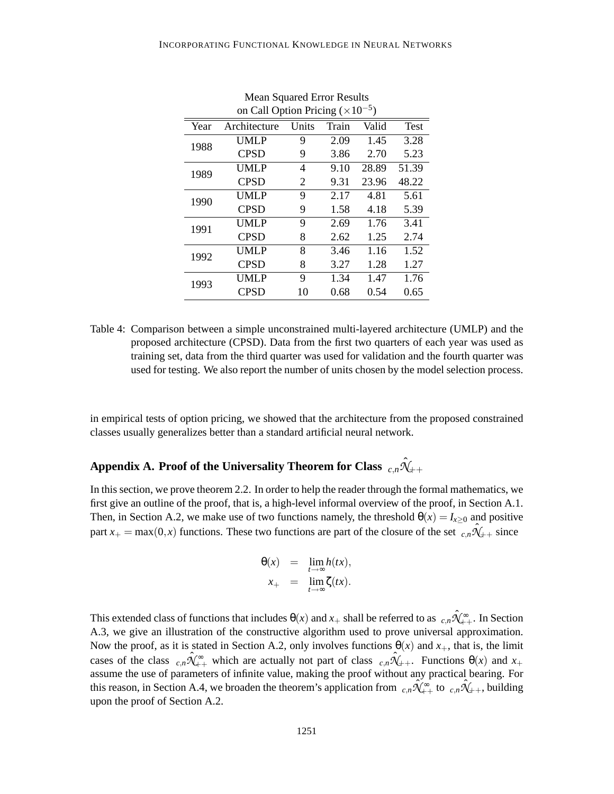|      | on Call Option Pricing $(\times 10^{-5})$ |       |       |       |             |
|------|-------------------------------------------|-------|-------|-------|-------------|
| Year | Architecture                              | Units | Train | Valid | <b>Test</b> |
| 1988 | UMLP                                      | 9     | 2.09  | 1.45  | 3.28        |
|      | <b>CPSD</b>                               | 9     | 3.86  | 2.70  | 5.23        |
| 1989 | UMLP                                      | 4     | 9.10  | 28.89 | 51.39       |
|      | <b>CPSD</b>                               | 2     | 9.31  | 23.96 | 48.22       |
| 1990 | UMLP                                      | 9     | 2.17  | 4.81  | 5.61        |
|      | <b>CPSD</b>                               | 9     | 1.58  | 4.18  | 5.39        |
| 1991 | UMLP                                      | 9     | 2.69  | 1.76  | 3.41        |
|      | <b>CPSD</b>                               | 8     | 2.62  | 1.25  | 2.74        |
| 1992 | UMLP                                      | 8     | 3.46  | 1.16  | 1.52        |
|      | <b>CPSD</b>                               | 8     | 3.27  | 1.28  | 1.27        |
| 1993 | UMLP                                      | 9     | 1.34  | 1.47  | 1.76        |
|      | <b>CPSD</b>                               | 10    | 0.68  | 0.54  | 0.65        |

Mean Squared Error Results

Table 4: Comparison between a simple unconstrained multi-layered architecture (UMLP) and the proposed architecture (CPSD). Data from the first two quarters of each year was used as training set, data from the third quarter was used for validation and the fourth quarter was used for testing. We also report the number of units chosen by the model selection process.

in empirical tests of option pricing, we showed that the architecture from the proposed constrained classes usually generalizes better than a standard artificial neural network.

# Appendix A. Proof of the Universality Theorem for Class  $\;_{c,n}\hat{\mathcal{H}}_{++}\;$

In this section, we prove theorem 2.2. In order to help the reader through the formal mathematics, we first give an outline of the proof, that is, a high-level informal overview of the proof, in Section A.1. Then, in Section A.2, we make use of two functions namely, the threshold  $\theta(x) = I_{x\geq 0}$  and positive part  $x_+ = \max(0, x)$  functions. These two functions are part of the closure of the set  $\hat{c}, n\hat{N}_{++}$  since

$$
\theta(x) = \lim_{t \to \infty} h(tx),
$$
  

$$
x_+ = \lim_{t \to \infty} \zeta(tx).
$$

This extended class of functions that includes  $\theta(x)$  and  $x_+$  shall be referred to as  $c, n\hat{\mathcal{H}}_{++}^{\infty}$ . In Section A.3, we give an illustration of the constructive algorithm used to prove universal approximation. Now the proof, as it is stated in Section A.2, only involves functions  $\theta(x)$  and  $x_+$ , that is, the limit cases of the class  $c, n\hat{\mathcal{N}}_{++}^{\infty}$  which are actually not part of class  $c, n\hat{\mathcal{N}}_{++}$ . Functions  $\Theta(x)$  and  $x_+$ assume the use of parameters of infinite value, making the proof without any practical bearing. For this reason, in Section A.4, we broaden the theorem's application from  $c, n\hat{\mathcal{K}}_{++}^{\bullet}$  to  $c, n\hat{\mathcal{K}}_{++}$ , building upon the proof of Section A.2.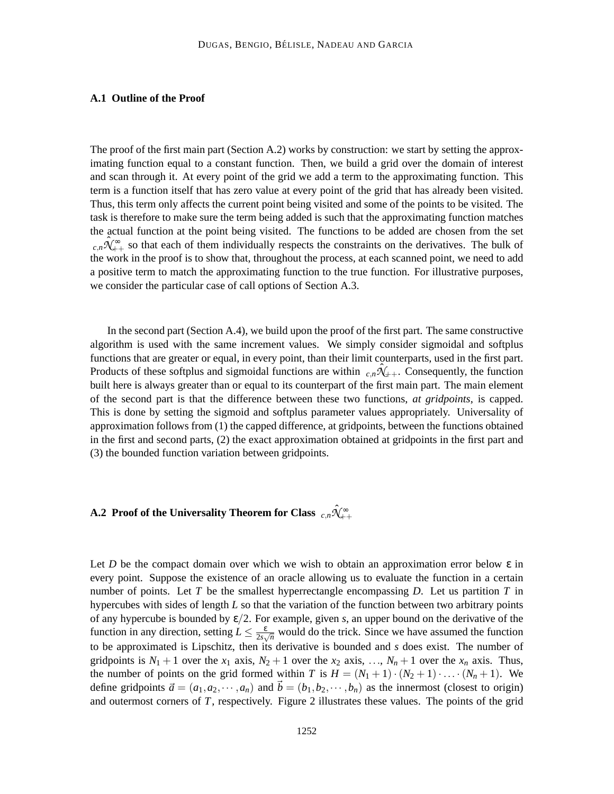## **A.1 Outline of the Proof**

The proof of the first main part (Section A.2) works by construction: we start by setting the approximating function equal to a constant function. Then, we build a grid over the domain of interest and scan through it. At every point of the grid we add a term to the approximating function. This term is a function itself that has zero value at every point of the grid that has already been visited. Thus, this term only affects the current point being visited and some of the points to be visited. The task is therefore to make sure the term being added is such that the approximating function matches the actual function at the point being visited. The functions to be added are chosen from the set  $c_n\hat{X}_{n+1}^{\infty}$  so that each of them individually respects the constraints on the derivatives. The bulk of the work in the proof is to show that, throughout the process, at each scanned point, we need to add a positive term to match the approximating function to the true function. For illustrative purposes, we consider the particular case of call options of Section A.3.

In the second part (Section A.4), we build upon the proof of the first part. The same constructive algorithm is used with the same increment values. We simply consider sigmoidal and softplus functions that are greater or equal, in every point, than their limit counterparts, used in the first part. Products of these softplus and sigmoidal functions are within  $c_n\hat{X}_{++}$ . Consequently, the function built here is always greater than or equal to its counterpart of the first main part. The main element of the second part is that the difference between these two functions, *at gridpoints*, is capped. This is done by setting the sigmoid and softplus parameter values appropriately. Universality of approximation follows from (1) the capped difference, at gridpoints, between the functions obtained in the first and second parts, (2) the exact approximation obtained at gridpoints in the first part and (3) the bounded function variation between gridpoints.

# **A.2 Proof of the Universality Theorem for Class**  $\;_{c,n}\hat{\mathcal{H}}_{++}^{\infty}\;$

Let *D* be the compact domain over which we wish to obtain an approximation error below  $\varepsilon$  in every point. Suppose the existence of an oracle allowing us to evaluate the function in a certain number of points. Let *T* be the smallest hyperrectangle encompassing *D*. Let us partition *T* in hypercubes with sides of length *L* so that the variation of the function between two arbitrary points of any hypercube is bounded by ε/2. For example, given *s*, an upper bound on the derivative of the function in any direction, setting  $L \leq \frac{\varepsilon}{2s_v}$  $\frac{\varepsilon}{2s\sqrt{n}}$  would do the trick. Since we have assumed the function to be approximated is Lipschitz, then its derivative is bounded and *s* does exist. The number of gridpoints is  $N_1 + 1$  over the  $x_1$  axis,  $N_2 + 1$  over the  $x_2$  axis, ...,  $N_n + 1$  over the  $x_n$  axis. Thus, the number of points on the grid formed within *T* is  $H = (N_1 + 1) \cdot (N_2 + 1) \cdot ... \cdot (N_n + 1)$ . We define gridpoints  $\vec{a} = (a_1, a_2, \dots, a_n)$  and  $\vec{b} = (b_1, b_2, \dots, b_n)$  as the innermost (closest to origin) and outermost corners of *T*, respectively. Figure 2 illustrates these values. The points of the grid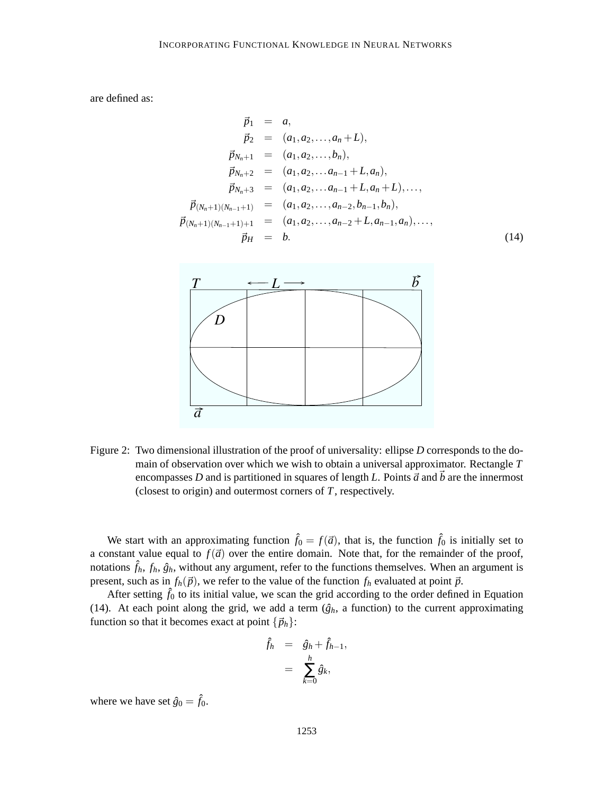are defined as:

$$
\vec{p}_1 = a,
$$
\n
$$
\vec{p}_2 = (a_1, a_2, \dots, a_n + L),
$$
\n
$$
\vec{p}_{N_n+1} = (a_1, a_2, \dots, b_n),
$$
\n
$$
\vec{p}_{N_n+2} = (a_1, a_2, \dots, a_{n-1} + L, a_n),
$$
\n
$$
\vec{p}_{N_n+3} = (a_1, a_2, \dots, a_{n-1} + L, a_n + L), \dots,
$$
\n
$$
\vec{p}_{(N_n+1)(N_{n-1}+1)} = (a_1, a_2, \dots, a_{n-2}, b_{n-1}, b_n),
$$
\n
$$
\vec{p}_{(N_n+1)(N_{n-1}+1)+1} = (a_1, a_2, \dots, a_{n-2} + L, a_{n-1}, a_n), \dots,
$$
\n
$$
\vec{p}_H = b.
$$
\n(14)



Figure 2: Two dimensional illustration of the proof of universality: ellipse *D* corresponds to the domain of observation over which we wish to obtain a universal approximator. Rectangle *T* encompasses *D* and is partitioned in squares of length *L*. Points  $\vec{a}$  and  $\vec{b}$  are the innermost (closest to origin) and outermost corners of *T*, respectively.

We start with an approximating function  $\hat{f}_0 = f(\vec{a})$ , that is, the function  $\hat{f}_0$  is initially set to a constant value equal to  $f(\vec{a})$  over the entire domain. Note that, for the remainder of the proof, notations  $\hat{f}_h$ ,  $f_h$ ,  $\hat{g}_h$ , without any argument, refer to the functions themselves. When an argument is present, such as in  $f_h(\vec{p})$ , we refer to the value of the function  $f_h$  evaluated at point  $\vec{p}$ .

After setting  $\hat{f}_0$  to its initial value, we scan the grid according to the order defined in Equation (14). At each point along the grid, we add a term  $(\hat{g}_h)$ , a function) to the current approximating function so that it becomes exact at point  $\{\vec{p}_h\}$ :

$$
\hat{f}_h = \hat{g}_h + \hat{f}_{h-1},
$$

$$
= \sum_{k=0}^h \hat{g}_k,
$$

where we have set  $\hat{g}_0 = \hat{f}_0$ .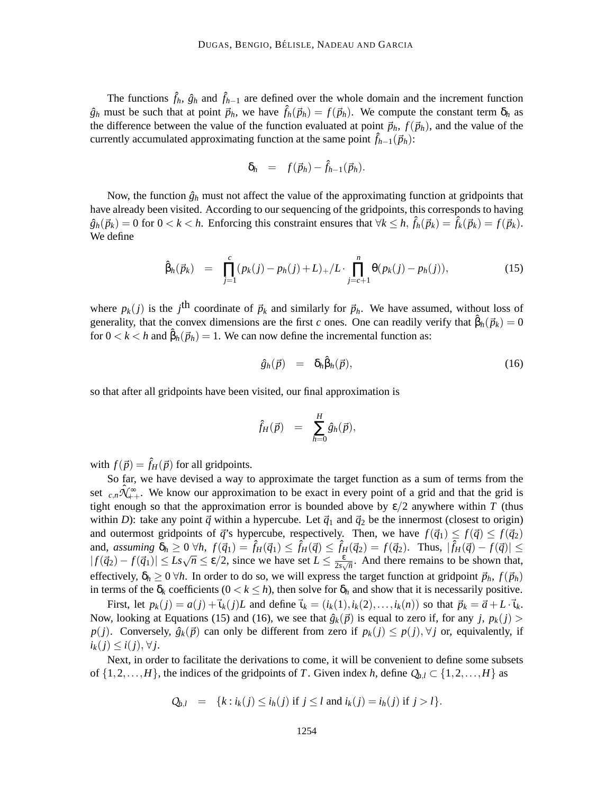The functions  $\hat{f}_h$ ,  $\hat{g}_h$  and  $\hat{f}_{h-1}$  are defined over the whole domain and the increment function  $\hat{g}_h$  must be such that at point  $\vec{p}_h$ , we have  $\hat{f}_h(\vec{p}_h) = f(\vec{p}_h)$ . We compute the constant term  $\delta_h$  as the difference between the value of the function evaluated at point  $\vec{p}_h$ ,  $f(\vec{p}_h)$ , and the value of the currently accumulated approximating function at the same point  $\hat{f}_{h-1}(\vec{p}_h)$ :

$$
\delta_h = f(\vec{p}_h) - \hat{f}_{h-1}(\vec{p}_h).
$$

Now, the function  $\hat{g}_h$  must not affect the value of the approximating function at gridpoints that have already been visited. According to our sequencing of the gridpoints, this corresponds to having  $\hat{g}_h(\vec{p}_k) = 0$  for  $0 < k < h$ . Enforcing this constraint ensures that  $\forall k \leq h$ ,  $\hat{f}_h(\vec{p}_k) = \hat{f}_k(\vec{p}_k) = f(\vec{p}_k)$ . We define

$$
\hat{\beta}_h(\vec{p}_k) = \prod_{j=1}^c (p_k(j) - p_h(j) + L)_+ / L \cdot \prod_{j=c+1}^n \theta(p_k(j) - p_h(j)), \qquad (15)
$$

where  $p_k(j)$  is the *j*<sup>th</sup> coordinate of  $\vec{p}_k$  and similarly for  $\vec{p}_h$ . We have assumed, without loss of generality, that the convex dimensions are the first *c* ones. One can readily verify that  $\hat{\beta}_h(\vec{p}_k) = 0$ for  $0 < k < h$  and  $\hat{\beta}_h(\vec{p}_h) = 1$ . We can now define the incremental function as:

$$
\hat{g}_h(\vec{p}) = \delta_h \hat{\beta}_h(\vec{p}), \qquad (16)
$$

so that after all gridpoints have been visited, our final approximation is

$$
\hat{f}_H(\vec{p}) = \sum_{h=0}^H \hat{g}_h(\vec{p}),
$$

with  $f(\vec{p}) = \hat{f}_H(\vec{p})$  for all gridpoints.

So far, we have devised a way to approximate the target function as a sum of terms from the set  $c_n\hat{A}_{n+1}^{\infty}$ . We know our approximation to be exact in every point of a grid and that the grid is tight enough so that the approximation error is bounded above by  $\varepsilon/2$  anywhere within *T* (thus within *D*): take any point  $\vec{q}$  within a hypercube. Let  $\vec{q}_1$  and  $\vec{q}_2$  be the innermost (closest to origin) and outermost gridpoints of  $\vec{q}$ 's hypercube, respectively. Then, we have  $f(\vec{q}_1) \leq f(\vec{q}) \leq f(\vec{q}_2)$ and, assuming  $\delta_h \geq 0$   $\forall h, f(\vec{q}_1) = \hat{f}_H(\vec{q}_1) \leq \hat{f}_H(\vec{q}) \leq \hat{f}_H(\vec{q}_2) = f(\vec{q}_2)$ . Thus,  $|\hat{f}_H(\vec{q}) - f(\vec{q})| \leq$  $| f(\vec{q}_2) - f(\vec{q}_1) | \leq Ls\sqrt{n} \leq \varepsilon/2$ , since we have set  $L \leq \frac{\varepsilon}{2s\sqrt{n}}$  $\frac{\varepsilon}{2s\sqrt{n}}$ . And there remains to be shown that, effectively,  $\delta_h \geq 0$   $\forall h$ . In order to do so, we will express the target function at gridpoint  $\vec{p}_h$ ,  $f(\vec{p}_h)$ in terms of the  $\delta_k$  coefficients  $(0 < k \leq h)$ , then solve for  $\delta_h$  and show that it is necessarily positive.

First, let  $p_k(j) = a(j) + \vec{i}_k(j)L$  and define  $\vec{i}_k = (i_k(1), i_k(2), \dots, i_k(n))$  so that  $\vec{p}_k = \vec{a} + L \cdot \vec{i}_k$ . Now, looking at Equations (15) and (16), we see that  $\hat{g}_k(\vec{p})$  is equal to zero if, for any *j*,  $p_k(j)$  > *p*(*j*). Conversely,  $\hat{g}_k(\vec{p})$  can only be different from zero if  $p_k(j) \leq p(j)$ ,  $\forall j$  or, equivalently, if  $i_k(j)$  ≤  $i(j)$ , ∀ *j*.

Next, in order to facilitate the derivations to come, it will be convenient to define some subsets of  $\{1,2,\ldots,H\}$ , the indices of the gridpoints of *T*. Given index *h*, define  $Q_{h,l} \subset \{1,2,\ldots,H\}$  as

$$
Q_{h,l} = \{k : i_k(j) \le i_h(j) \text{ if } j \le l \text{ and } i_k(j) = i_h(j) \text{ if } j > l\}.
$$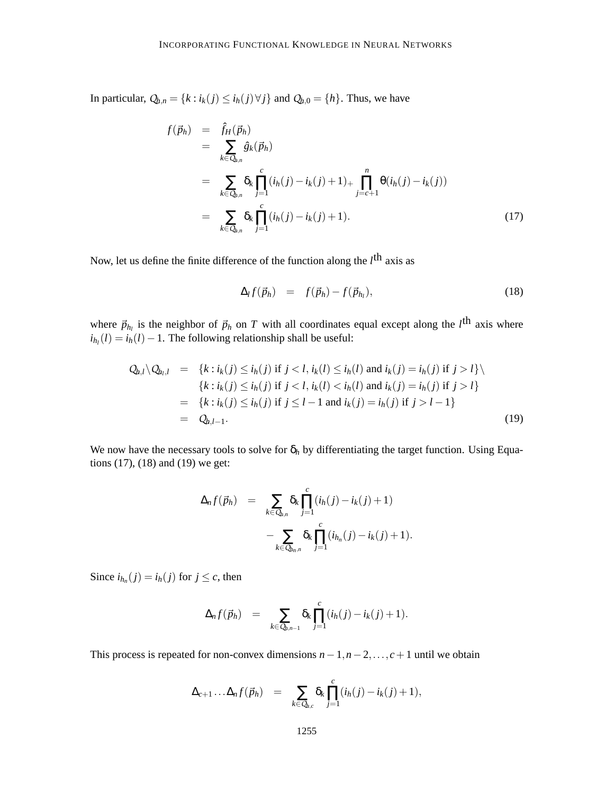In particular,  $Q_{h,n} = \{k : i_k(j) \le i_h(j) \forall j\}$  and  $Q_{h,0} = \{h\}$ . Thus, we have

$$
f(\vec{p}_h) = \hat{f}_H(\vec{p}_h)
$$
  
\n
$$
= \sum_{k \in Q_{h,n}} \hat{g}_k(\vec{p}_h)
$$
  
\n
$$
= \sum_{k \in Q_{h,n}} \delta_k \prod_{j=1}^c (i_h(j) - i_k(j) + 1)_+ \prod_{j=c+1}^n \Theta(i_h(j) - i_k(j))
$$
  
\n
$$
= \sum_{k \in Q_{h,n}} \delta_k \prod_{j=1}^c (i_h(j) - i_k(j) + 1).
$$
 (17)

Now, let us define the finite difference of the function along the *l*<sup>th</sup> axis as

$$
\Delta_l f(\vec{p}_h) = f(\vec{p}_h) - f(\vec{p}_{h_l}), \qquad (18)
$$

where  $\vec{p}_{h_l}$  is the neighbor of  $\vec{p}_h$  on *T* with all coordinates equal except along the *l*<sup>th</sup> axis where  $i_{h_l}(l) = i_h(l) - 1$ . The following relationship shall be useful:

$$
Q_{h,l} \setminus Q_{h_l,l} = \{k : i_k(j) \le i_h(j) \text{ if } j < l, i_k(l) \le i_h(l) \text{ and } i_k(j) = i_h(j) \text{ if } j > l\} \setminus \{k : i_k(j) \le i_h(j) \text{ if } j < l, i_k(l) < i_h(l) \text{ and } i_k(j) = i_h(j) \text{ if } j > l\} = \{k : i_k(j) \le i_h(j) \text{ if } j \le l-1 \text{ and } i_k(j) = i_h(j) \text{ if } j > l-1\} = Q_{h,l-1}.
$$
\n
$$
(19)
$$

We now have the necessary tools to solve for  $\delta_h$  by differentiating the target function. Using Equations (17), (18) and (19) we get:

$$
\Delta_n f(\vec{p}_h) = \sum_{k \in Q_{h,n}} \delta_k \prod_{j=1}^c (i_h(j) - i_k(j) + 1)
$$

$$
- \sum_{k \in Q_{h,n}} \delta_k \prod_{j=1}^c (i_{h_n}(j) - i_k(j) + 1).
$$

Since  $i_{h_n}(j) = i_h(j)$  for  $j \leq c$ , then

$$
\Delta_n f(\vec{p}_h) = \sum_{k \in Q_{h,n-1}} \delta_k \prod_{j=1}^c (i_h(j) - i_k(j) + 1).
$$

This process is repeated for non-convex dimensions  $n-1$ ,  $n-2$ ,..., $c+1$  until we obtain

$$
\Delta_{c+1}\dots\Delta_nf(\vec{p}_h) = \sum_{k\in Q_{h,c}} \delta_k \prod_{j=1}^c (i_h(j)-i_k(j)+1),
$$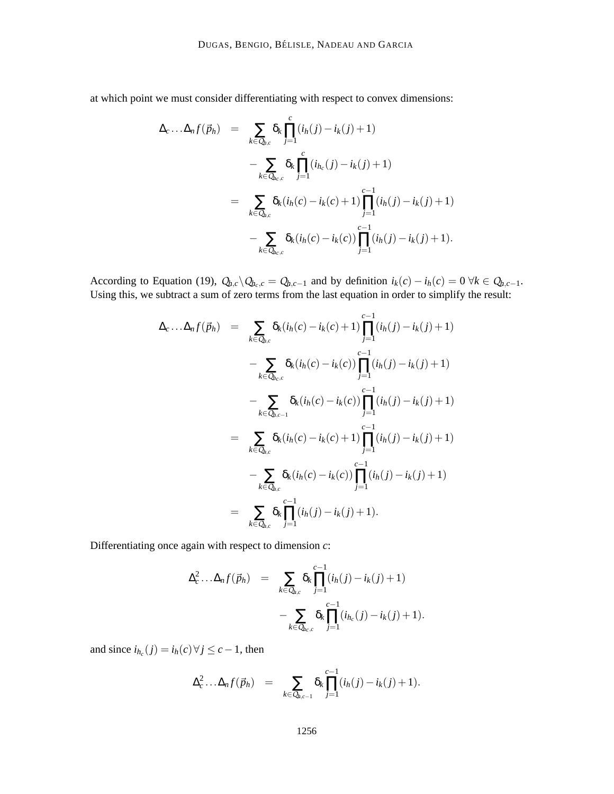at which point we must consider differentiating with respect to convex dimensions:

$$
\Delta_c \dots \Delta_n f(\vec{p}_h) = \sum_{k \in Q_{h,c}} \delta_k \prod_{j=1}^c (i_h(j) - i_k(j) + 1)
$$
  
- 
$$
\sum_{k \in Q_{h,c}} \delta_k \prod_{j=1}^c (i_{h_c}(j) - i_k(j) + 1)
$$
  
= 
$$
\sum_{k \in Q_{h,c}} \delta_k (i_h(c) - i_k(c) + 1) \prod_{j=1}^{c-1} (i_h(j) - i_k(j) + 1)
$$
  
- 
$$
\sum_{k \in Q_{h,c}} \delta_k (i_h(c) - i_k(c)) \prod_{j=1}^{c-1} (i_h(j) - i_k(j) + 1).
$$

According to Equation (19),  $Q_{h,c} \setminus Q_{h,c} = Q_{h,c-1}$  and by definition  $i_k(c) - i_h(c) = 0 \ \forall k \in Q_{h,c-1}$ . Using this, we subtract a sum of zero terms from the last equation in order to simplify the result:

$$
\Delta_c \dots \Delta_n f(\vec{p}_h) = \sum_{k \in Q_{b,c}} \delta_k (i_h(c) - i_k(c) + 1) \prod_{j=1}^{c-1} (i_h(j) - i_k(j) + 1)
$$
  
\n
$$
- \sum_{k \in Q_{b,c,c}} \delta_k (i_h(c) - i_k(c)) \prod_{j=1}^{c-1} (i_h(j) - i_k(j) + 1)
$$
  
\n
$$
- \sum_{k \in Q_{b,c-1}} \delta_k (i_h(c) - i_k(c)) \prod_{j=1}^{c-1} (i_h(j) - i_k(j) + 1)
$$
  
\n
$$
= \sum_{k \in Q_{b,c}} \delta_k (i_h(c) - i_k(c) + 1) \prod_{j=1}^{c-1} (i_h(j) - i_k(j) + 1)
$$
  
\n
$$
- \sum_{k \in Q_{b,c}} \delta_k (i_h(c) - i_k(c)) \prod_{j=1}^{c-1} (i_h(j) - i_k(j) + 1)
$$
  
\n
$$
= \sum_{k \in Q_{b,c}} \delta_k \prod_{j=1}^{c-1} (i_h(j) - i_k(j) + 1).
$$

Differentiating once again with respect to dimension *c*:

$$
\Delta_c^2 \dots \Delta_n f(\vec{p}_h) = \sum_{k \in Q_{h,c}} \delta_k \prod_{j=1}^{c-1} (i_h(j) - i_k(j) + 1) - \sum_{k \in Q_{h,c,c}} \delta_k \prod_{j=1}^{c-1} (i_{h_c}(j) - i_k(j) + 1).
$$

and since  $i_{h_c}(j) = i_h(c) \forall j \le c - 1$ , then

$$
\Delta_c^2 \ldots \Delta_n f(\vec{p}_h) = \sum_{k \in Q_{h,c-1}} \delta_k \prod_{j=1}^{c-1} (i_h(j) - i_k(j) + 1).
$$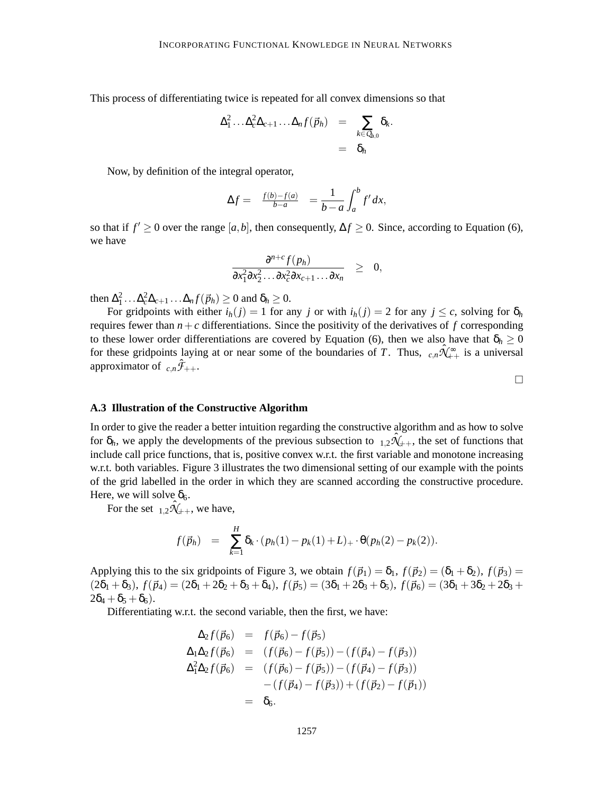This process of differentiating twice is repeated for all convex dimensions so that

$$
\Delta_1^2 \ldots \Delta_c^2 \Delta_{c+1} \ldots \Delta_n f(\vec{p}_h) = \sum_{k \in Q_{h,0}} \delta_k.
$$
  
=  $\delta_h$ 

Now, by definition of the integral operator,

$$
\Delta f = \frac{f(b) - f(a)}{b - a} = \frac{1}{b - a} \int_a^b f' dx,
$$

so that if  $f' \geq 0$  over the range  $[a, b]$ , then consequently,  $\Delta f \geq 0$ . Since, according to Equation (6), we have

$$
\frac{\partial^{n+c} f(p_h)}{\partial x_1^2 \partial x_2^2 \dots \partial x_c^2 \partial x_{c+1} \dots \partial x_n} \geq 0,
$$

then  $\Delta_1^2 \ldots \Delta_c^2 \Delta_{c+1} \ldots \Delta_n f(\vec{p}_h) \geq 0$  and  $\delta_h \geq 0$ .

For gridpoints with either  $i_h(j) = 1$  for any *j* or with  $i_h(j) = 2$  for any  $j \leq c$ , solving for  $\delta_h$ requires fewer than  $n+c$  differentiations. Since the positivity of the derivatives of  $f$  corresponding to these lower order differentiations are covered by Equation (6), then we also have that  $\delta_h \geq 0$ for these gridpoints laying at or near some of the boundaries of *T*. Thus,  $c, n\hat{X}_{++}^{\infty}$  is a universal approximator of  $c, n \mathcal{F}_{++}$ .

 $\Box$ 

## **A.3 Illustration of the Constructive Algorithm**

In order to give the reader a better intuition regarding the constructive algorithm and as how to solve for  $\delta_h$ , we apply the developments of the previous subsection to  $_{1,2}\hat{\mathcal{H}}_{++}$ , the set of functions that include call price functions, that is, positive convex w.r.t. the first variable and monotone increasing w.r.t. both variables. Figure 3 illustrates the two dimensional setting of our example with the points of the grid labelled in the order in which they are scanned according the constructive procedure. Here, we will solve  $\delta_6$ .

For the set  $_{1,2}\hat{\mathcal{N}}_{++}$ , we have,

$$
f(\vec{p}_h) = \sum_{k=1}^H \delta_k \cdot (p_h(1) - p_k(1) + L) + \cdot \theta(p_h(2) - p_k(2)).
$$

Applying this to the six gridpoints of Figure 3, we obtain  $f(\vec{p}_1) = \delta_1$ ,  $f(\vec{p}_2) = (\delta_1 + \delta_2)$ ,  $f(\vec{p}_3) =$  $(2\delta_1 + \delta_3), f(\vec{p}_4) = (2\delta_1 + 2\delta_2 + \delta_3 + \delta_4), f(\vec{p}_5) = (3\delta_1 + 2\delta_3 + \delta_5), f(\vec{p}_6) = (3\delta_1 + 3\delta_2 + 2\delta_3 +$  $2\delta_4 + \delta_5 + \delta_6$ ).

Differentiating w.r.t. the second variable, then the first, we have:

$$
\Delta_2 f(\vec{p}_6) = f(\vec{p}_6) - f(\vec{p}_5) \n\Delta_1 \Delta_2 f(\vec{p}_6) = (f(\vec{p}_6) - f(\vec{p}_5)) - (f(\vec{p}_4) - f(\vec{p}_3)) \n\Delta_1^2 \Delta_2 f(\vec{p}_6) = (f(\vec{p}_6) - f(\vec{p}_5)) - (f(\vec{p}_4) - f(\vec{p}_3)) \n- (f(\vec{p}_4) - f(\vec{p}_3)) + (f(\vec{p}_2) - f(\vec{p}_1)) \n= \delta_6.
$$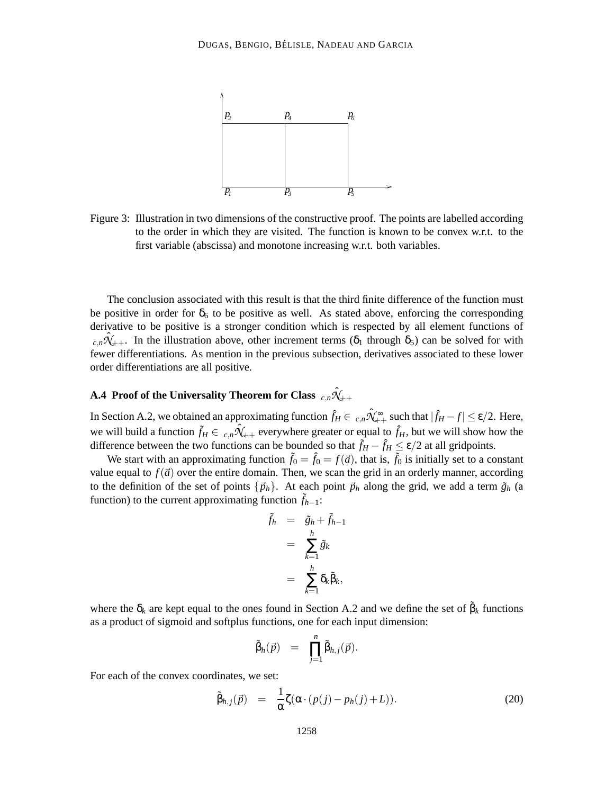

Figure 3: Illustration in two dimensions of the constructive proof. The points are labelled according to the order in which they are visited. The function is known to be convex w.r.t. to the first variable (abscissa) and monotone increasing w.r.t. both variables.

The conclusion associated with this result is that the third finite difference of the function must be positive in order for  $\delta_6$  to be positive as well. As stated above, enforcing the corresponding derivative to be positive is a stronger condition which is respected by all element functions of  $c_n\hat{X}_{++}$ . In the illustration above, other increment terms ( $\delta_1$  through  $\delta_5$ ) can be solved for with fewer differentiations. As mention in the previous subsection, derivatives associated to these lower order differentiations are all positive.

# **A.4 Proof of the Universality Theorem for Class**  $\;_{c,n}\hat{\mathcal{H}}_{++}\;$

In Section A.2, we obtained an approximating function  $\hat{f}_H \in C_{R,n} \hat{X}_{++}^{\infty}$  such that  $|\hat{f}_H - f| \le \varepsilon/2$ . Here, we will build a function  $\tilde{f}_H \in C_{n,n} \hat{N}_{++}$  everywhere greater or equal to  $\hat{f}_H$ , but we will show how the difference between the two functions can be bounded so that  $\tilde{f}_H - \hat{f}_H \le \varepsilon/2$  at all gridpoints.

We start with an approximating function  $\tilde{f}_0 = \hat{f}_0 = f(\vec{a})$ , that is,  $\tilde{f}_0$  is initially set to a constant value equal to  $f(\vec{a})$  over the entire domain. Then, we scan the grid in an orderly manner, according to the definition of the set of points  $\{\vec{p}_h\}$ . At each point  $\vec{p}_h$  along the grid, we add a term  $\tilde{g}_h$  (a function) to the current approximating function  $f_{h-1}$ :

$$
\tilde{f}_h = \tilde{g}_h + \tilde{f}_{h-1} \n= \sum_{k=1}^h \tilde{g}_k \n= \sum_{k=1}^h \delta_k \tilde{\beta}_k,
$$

where the  $\delta_k$  are kept equal to the ones found in Section A.2 and we define the set of  $\beta_k$  functions as a product of sigmoid and softplus functions, one for each input dimension:

$$
\tilde{\beta}_h(\vec{p}) = \prod_{j=1}^n \tilde{\beta}_{h,j}(\vec{p}).
$$

For each of the convex coordinates, we set:

$$
\tilde{\beta}_{h,j}(\vec{p}) = \frac{1}{\alpha} \zeta(\alpha \cdot (p(j) - p_h(j) + L)). \tag{20}
$$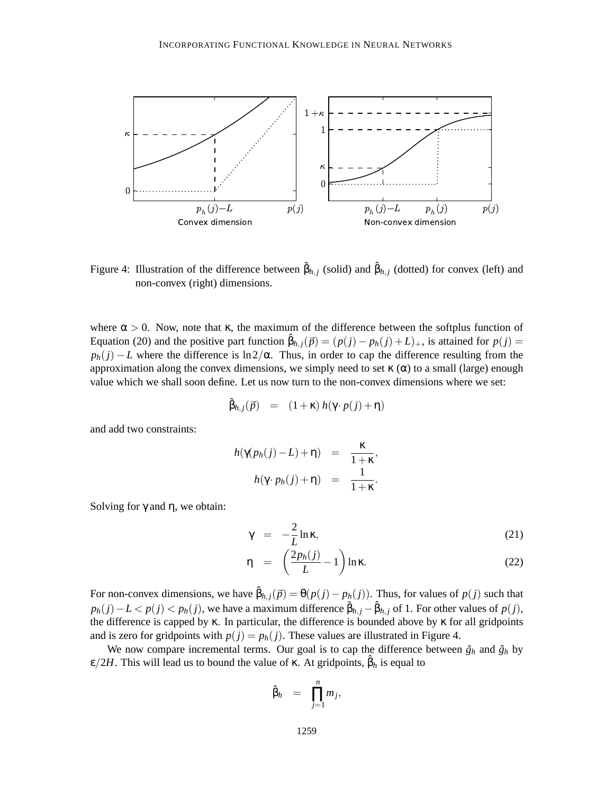

Figure 4: Illustration of the difference between  $\tilde{\beta}_{h,j}$  (solid) and  $\hat{\beta}_{h,j}$  (dotted) for convex (left) and non-convex (right) dimensions.

where  $\alpha > 0$ . Now, note that κ, the maximum of the difference between the softplus function of Equation (20) and the positive part function  $\hat{\beta}_{h,j}(\vec{p}) = (p(j) - p_h(j) + L)_+$ , is attained for  $p(j) =$  $p_h(j) - L$  where the difference is ln2/α. Thus, in order to cap the difference resulting from the approximation along the convex dimensions, we simply need to set  $\kappa(\alpha)$  to a small (large) enough value which we shall soon define. Let us now turn to the non-convex dimensions where we set:

$$
\tilde{\beta}_{h,j}(\vec{p}) = (1+\kappa) h(\gamma \cdot p(j) + \eta)
$$

and add two constraints:

$$
h(\gamma(p_h(j)-L)+\eta) = \frac{\kappa}{1+\kappa},
$$
  

$$
h(\gamma \cdot p_h(j)+\eta) = \frac{1}{1+\kappa}.
$$

Solving for  $\gamma$  and  $\eta$ , we obtain:

$$
\gamma = -\frac{2}{L} \ln \kappa, \tag{21}
$$

$$
\eta = \left(\frac{2p_h(j)}{L} - 1\right) \ln \kappa. \tag{22}
$$

For non-convex dimensions, we have  $\hat{\beta}_{h,j}(\vec{p}) = \theta(p(j) - p_h(j))$ . Thus, for values of  $p(j)$  such that  $p_h(j) - L < p(j) < p_h(j)$ , we have a maximum difference  $\tilde{\beta}_{h,j} - \hat{\beta}_{h,j}$  of 1. For other values of  $p(j)$ , the difference is capped by κ. In particular, the difference is bounded above by κ for all gridpoints and is zero for gridpoints with  $p(j) = p_h(j)$ . These values are illustrated in Figure 4.

We now compare incremental terms. Our goal is to cap the difference between  $\tilde{g}_h$  and  $\hat{g}_h$  by  $\epsilon/2H$ . This will lead us to bound the value of  $\kappa$ . At gridpoints,  $\hat{\beta}_h$  is equal to

$$
\hat{\beta}_h = \prod_{j=1}^n m_j,
$$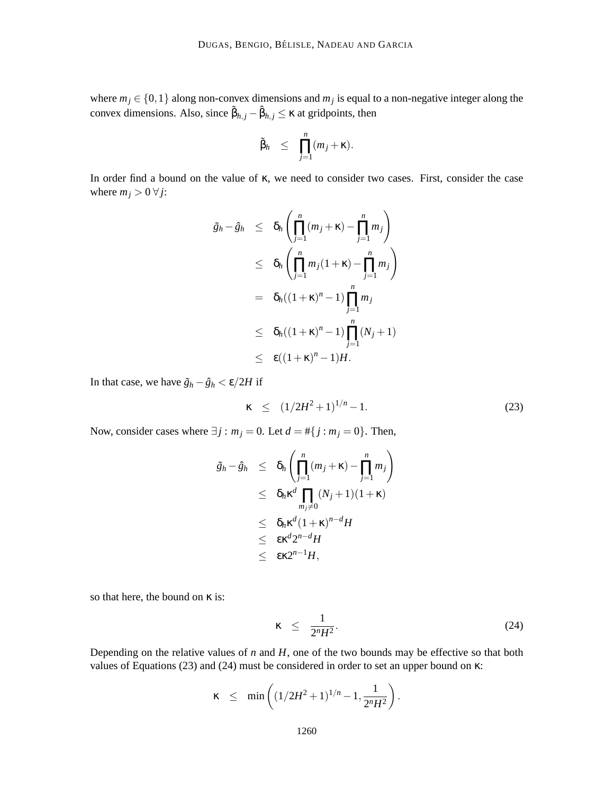where  $m_j \in \{0, 1\}$  along non-convex dimensions and  $m_j$  is equal to a non-negative integer along the convex dimensions. Also, since  $\tilde{\beta}_{h,j} - \hat{\beta}_{h,j} \le \kappa$  at gridpoints, then

$$
\tilde{\beta}_h \leq \prod_{j=1}^n (m_j + \kappa).
$$

In order find a bound on the value of κ, we need to consider two cases. First, consider the case where  $m_j > 0 \,\forall j$ :

$$
\tilde{g}_h - \hat{g}_h \leq \delta_h \left( \prod_{j=1}^n (m_j + \kappa) - \prod_{j=1}^n m_j \right)
$$
  
\n
$$
\leq \delta_h \left( \prod_{j=1}^n m_j (1 + \kappa) - \prod_{j=1}^n m_j \right)
$$
  
\n
$$
= \delta_h ((1 + \kappa)^n - 1) \prod_{j=1}^n m_j
$$
  
\n
$$
\leq \delta_h ((1 + \kappa)^n - 1) \prod_{j=1}^n (N_j + 1)
$$
  
\n
$$
\leq \epsilon ((1 + \kappa)^n - 1) H.
$$

In that case, we have  $\tilde{g}_h - \hat{g}_h < \varepsilon/2H$  if

$$
\kappa \le (1/2H^2 + 1)^{1/n} - 1. \tag{23}
$$

Now, consider cases where  $\exists j : m_j = 0$ . Let  $d = #\{j : m_j = 0\}$ . Then,

$$
\tilde{g}_h - \hat{g}_h \leq \delta_h \left( \prod_{j=1}^n (m_j + \kappa) - \prod_{j=1}^n m_j \right) \n\leq \delta_h \kappa^d \prod_{m_j \neq 0} (N_j + 1)(1 + \kappa) \n\leq \delta_h \kappa^d (1 + \kappa)^{n-d} H \n\leq \epsilon \kappa^d 2^{n-d} H \n\leq \epsilon \kappa 2^{n-1} H,
$$

so that here, the bound on κ is:

$$
\kappa \leq \frac{1}{2^n H^2}.
$$
\n(24)

Depending on the relative values of  $n$  and  $H$ , one of the two bounds may be effective so that both values of Equations (23) and (24) must be considered in order to set an upper bound on κ:

$$
\kappa \leq \min\left( (1/2H^2 + 1)^{1/n} - 1, \frac{1}{2^nH^2} \right).
$$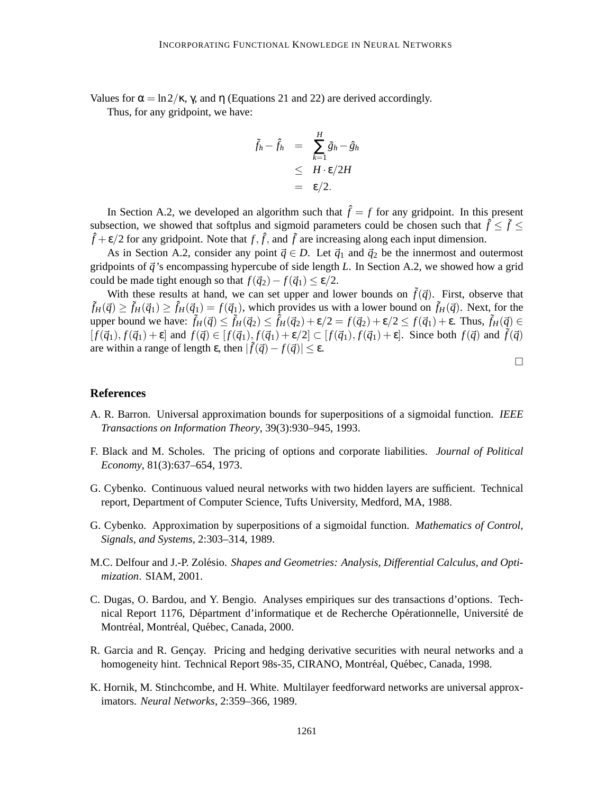Values for  $\alpha = \ln 2/\kappa$ ,  $\gamma$ , and  $\eta$  (Equations 21 and 22) are derived accordingly.

Thus, for any gridpoint, we have:

$$
\tilde{f}_h - \hat{f}_h = \sum_{k=1}^H \tilde{g}_h - \hat{g}_h
$$
\n
$$
\leq H \cdot \varepsilon / 2H
$$
\n
$$
= \varepsilon / 2.
$$

In Section A.2, we developed an algorithm such that  $\hat{f} = f$  for any gridpoint. In this present subsection, we showed that softplus and sigmoid parameters could be chosen such that  $\hat{f} \leq \tilde{f} \leq$  $\hat{f} + \varepsilon/2$  for any gridpoint. Note that  $f, \hat{f}$ , and  $\tilde{f}$  are increasing along each input dimension.

As in Section A.2, consider any point  $\vec{q} \in D$ . Let  $\vec{q}_1$  and  $\vec{q}_2$  be the innermost and outermost gridpoints of  $\vec{q}$ 's encompassing hypercube of side length *L*. In Section A.2, we showed how a grid could be made tight enough so that  $f(\vec{q}_2) - f(\vec{q}_1) \le \varepsilon/2$ .

With these results at hand, we can set upper and lower bounds on  $\tilde{f}(\vec{q})$ . First, observe that  $\tilde{f}_H(\vec{q}) \ge \tilde{f}_H(\vec{q}_1) \ge \hat{f}_H(\vec{q}_1) = f(\vec{q}_1)$ , which provides us with a lower bound on  $\tilde{f}_H(\vec{q})$ . Next, for the upper bound we have:  $\tilde{f}_H(\vec{q}) \leq \tilde{f}_H(\vec{q}_2) \leq \hat{f}_H(\vec{q}_2) + \varepsilon/2 = f(\vec{q}_2) + \varepsilon/2 \leq f(\vec{q}_1) + \varepsilon$ . Thus,  $\tilde{f}_H(\vec{q}) \in$  $[f(\vec{q}_1), f(\vec{q}_1) + \varepsilon]$  and  $f(\vec{q}) \in [f(\vec{q}_1), f(\vec{q}_1) + \varepsilon/2] \subset [f(\vec{q}_1), f(\vec{q}_1) + \varepsilon]$ . Since both  $f(\vec{q})$  and  $\tilde{f}(\vec{q})$ are within a range of length  $\varepsilon$ , then  $|\tilde{f}(\vec{q}) - f(\vec{q})| \leq \varepsilon$ .

## **References**

- A. R. Barron. Universal approximation bounds for superpositions of a sigmoidal function. *IEEE Transactions on Information Theory*, 39(3):930–945, 1993.
- F. Black and M. Scholes. The pricing of options and corporate liabilities. *Journal of Political Economy*, 81(3):637–654, 1973.
- G. Cybenko. Continuous valued neural networks with two hidden layers are sufficient. Technical report, Department of Computer Science, Tufts University, Medford, MA, 1988.
- G. Cybenko. Approximation by superpositions of a sigmoidal function. *Mathematics of Control, Signals, and Systems*, 2:303–314, 1989.
- M.C. Delfour and J.-P. Zolésio. Shapes and Geometries: Analysis, Differential Calculus, and Opti*mization*. SIAM, 2001.
- C. Dugas, O. Bardou, and Y. Bengio. Analyses empiriques sur des transactions d'options. Technical Report 1176, Départment d'informatique et de Recherche Opérationnelle, Université de Montréal, Montréal, Québec, Canada, 2000.
- R. Garcia and R. Gençay. Pricing and hedging derivative securities with neural networks and a homogeneity hint. Technical Report 98s-35, CIRANO, Montréal, Québec, Canada, 1998.
- K. Hornik, M. Stinchcombe, and H. White. Multilayer feedforward networks are universal approximators. *Neural Networks*, 2:359–366, 1989.